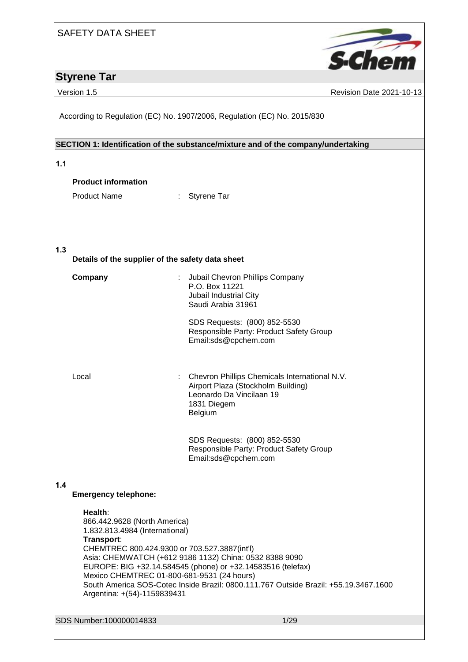# **Styrene Tar**

**S**-Chen

Version 1.5 **Revision Date 2021-10-13** 

According to Regulation (EC) No. 1907/2006, Regulation (EC) No. 2015/830

# **SECTION 1: Identification of the substance/mixture and of the company/undertaking 1.1 Product information** Product Name : Styrene Tar **1.3 Details of the supplier of the safety data sheet Company** : Jubail Chevron Phillips Company P.O. Box 11221 Jubail Industrial City Saudi Arabia 31961 SDS Requests: (800) 852-5530 Responsible Party: Product Safety Group Email:sds@cpchem.com

Local : Chevron Phillips Chemicals International N.V. Airport Plaza (Stockholm Building) Leonardo Da Vincilaan 19 1831 Diegem Belgium

> SDS Requests: (800) 852-5530 Responsible Party: Product Safety Group Email:sds@cpchem.com

**1.4** 

### **Emergency telephone:**

**Health**: 866.442.9628 (North America) 1.832.813.4984 (International) **Transport**: CHEMTREC 800.424.9300 or 703.527.3887(int'l) Asia: CHEMWATCH (+612 9186 1132) China: 0532 8388 9090 EUROPE: BIG +32.14.584545 (phone) or +32.14583516 (telefax) Mexico CHEMTREC 01-800-681-9531 (24 hours) South America SOS-Cotec Inside Brazil: 0800.111.767 Outside Brazil: +55.19.3467.1600 Argentina: +(54)-1159839431

SDS Number:100000014833 1/29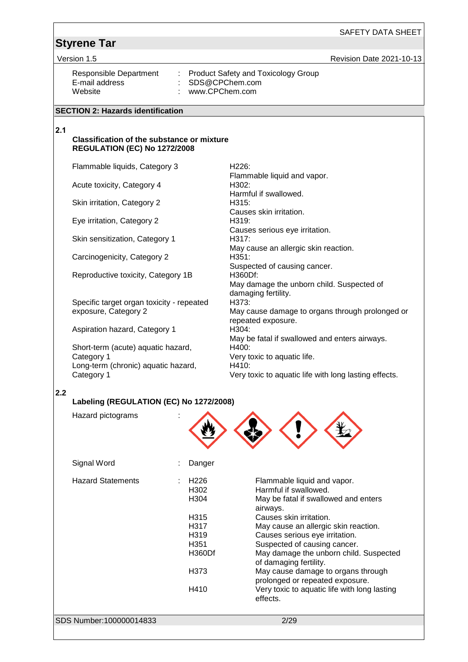Version 1.5 **New Search 2021-10-13** Revision Date 2021-10-13

E-mail address : SDS@CPChem.com

Responsible Department : Product Safety and Toxicology Group<br>E-mail address : SDS@CPChem.com : www.CPChem.com

#### **SECTION 2: Hazards identification**

### **2.1**

#### **Classification of the substance or mixture REGULATION (EC) No 1272/2008**

Flammable liquids, Category 3 H226:

Acute toxicity, Category 4 H302:

Skin irritation, Category 2 H315:

Eye irritation, Category 2 **H319**:

Skin sensitization, Category 1

Carcinogenicity, Category 2 **H351:** 

Reproductive toxicity, Category 1B H360Df:

Specific target organ toxicity - repeated exposure, Category 2

Aspiration hazard, Category 1 H304:

Short-term (acute) aquatic hazard, Category 1 Long-term (chronic) aquatic hazard, Category 1

Flammable liquid and vapor. Harmful if swallowed. Causes skin irritation. Causes serious eye irritation. May cause an allergic skin reaction. Suspected of causing cancer. May damage the unborn child. Suspected of damaging fertility. H373: May cause damage to organs through prolonged or repeated exposure. May be fatal if swallowed and enters airways. H400: Very toxic to aquatic life.

Very toxic to aquatic life with long lasting effects.

**2.2**

### **Labeling (REGULATION (EC) No 1272/2008)**

| Signal Word<br>Danger<br><b>Hazard Statements</b><br>H <sub>226</sub><br>Flammable liquid and vapor.<br>Harmful if swallowed.<br>H302<br>H304<br>May be fatal if swallowed and enters<br>airways.<br>Causes skin irritation.<br>H315<br>H317<br>May cause an allergic skin reaction.<br>H319<br>Causes serious eye irritation.<br>H <sub>351</sub><br>Suspected of causing cancer.<br>H360Df<br>of damaging fertility.<br>May cause damage to organs through<br>H373<br>prolonged or repeated exposure.<br>H410<br>effects. | Hazard pictograms |                                              |  |
|-----------------------------------------------------------------------------------------------------------------------------------------------------------------------------------------------------------------------------------------------------------------------------------------------------------------------------------------------------------------------------------------------------------------------------------------------------------------------------------------------------------------------------|-------------------|----------------------------------------------|--|
|                                                                                                                                                                                                                                                                                                                                                                                                                                                                                                                             |                   |                                              |  |
|                                                                                                                                                                                                                                                                                                                                                                                                                                                                                                                             |                   |                                              |  |
|                                                                                                                                                                                                                                                                                                                                                                                                                                                                                                                             |                   | May damage the unborn child. Suspected       |  |
|                                                                                                                                                                                                                                                                                                                                                                                                                                                                                                                             |                   |                                              |  |
|                                                                                                                                                                                                                                                                                                                                                                                                                                                                                                                             |                   | Very toxic to aquatic life with long lasting |  |
| SDS Number:100000014833<br>2/29                                                                                                                                                                                                                                                                                                                                                                                                                                                                                             |                   |                                              |  |

H410: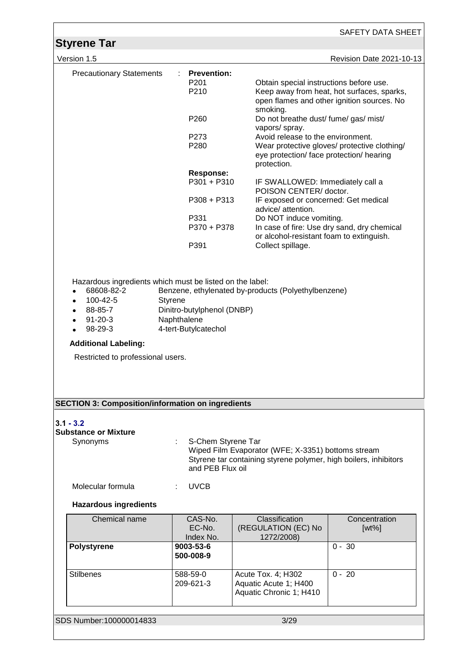|                                                                                                                                         |                                                |                                                                                                                        | SAFETY DATA SHEET                                                                        |
|-----------------------------------------------------------------------------------------------------------------------------------------|------------------------------------------------|------------------------------------------------------------------------------------------------------------------------|------------------------------------------------------------------------------------------|
| <b>Styrene Tar</b><br>Version 1.5                                                                                                       |                                                |                                                                                                                        | Revision Date 2021-10-13                                                                 |
|                                                                                                                                         |                                                |                                                                                                                        |                                                                                          |
| <b>Precautionary Statements</b>                                                                                                         | <b>Prevention:</b><br>P <sub>201</sub><br>P210 | Obtain special instructions before use.<br>smoking.                                                                    | Keep away from heat, hot surfaces, sparks,<br>open flames and other ignition sources. No |
|                                                                                                                                         | P <sub>260</sub>                               | Do not breathe dust/ fume/ gas/ mist/<br>vapors/ spray.                                                                |                                                                                          |
|                                                                                                                                         | P273<br>P280                                   | Avoid release to the environment.<br>eye protection/ face protection/ hearing<br>protection.                           | Wear protective gloves/ protective clothing/                                             |
|                                                                                                                                         | <b>Response:</b><br>P301 + P310                | IF SWALLOWED: Immediately call a                                                                                       |                                                                                          |
|                                                                                                                                         | $P308 + P313$                                  | POISON CENTER/doctor.<br>IF exposed or concerned: Get medical                                                          |                                                                                          |
|                                                                                                                                         | P331<br>P370 + P378                            | advice/ attention.<br>Do NOT induce vomiting.                                                                          | In case of fire: Use dry sand, dry chemical                                              |
|                                                                                                                                         | P391                                           | or alcohol-resistant foam to extinguish.<br>Collect spillage.                                                          |                                                                                          |
| 98-29-3<br><b>Additional Labeling:</b><br>Restricted to professional users.<br><b>SECTION 3: Composition/information on ingredients</b> | 4-tert-Butylcatechol                           |                                                                                                                        |                                                                                          |
| $3.1 - 3.2$<br><b>Substance or Mixture</b><br>Synonyms                                                                                  | S-Chem Styrene Tar<br>and PEB Flux oil         | Wiped Film Evaporator (WFE; X-3351) bottoms stream<br>Styrene tar containing styrene polymer, high boilers, inhibitors |                                                                                          |
| Molecular formula                                                                                                                       | <b>UVCB</b>                                    |                                                                                                                        |                                                                                          |
| <b>Hazardous ingredients</b>                                                                                                            |                                                |                                                                                                                        |                                                                                          |
| Chemical name                                                                                                                           | CAS-No.<br>EC-No.<br>Index No.                 | Classification<br>(REGULATION (EC) No<br>1272/2008)                                                                    | Concentration<br>$[wt\%]$                                                                |
| <b>Polystyrene</b>                                                                                                                      | 9003-53-6<br>500-008-9                         |                                                                                                                        | $0 - 30$                                                                                 |
| <b>Stilbenes</b>                                                                                                                        | 588-59-0<br>209-621-3                          | Acute Tox. 4; H302<br>Aquatic Acute 1; H400<br>Aquatic Chronic 1; H410                                                 | $0 - 20$                                                                                 |
| SDS Number:100000014833                                                                                                                 |                                                | 3/29                                                                                                                   |                                                                                          |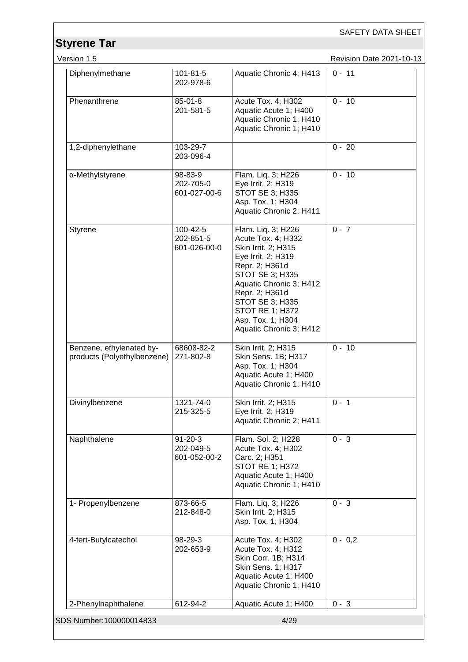| <b>Styrene Tar</b>                                      |                                            |                                                                                                                                                                                                                                                                      | SAFETY DATA SHEET        |
|---------------------------------------------------------|--------------------------------------------|----------------------------------------------------------------------------------------------------------------------------------------------------------------------------------------------------------------------------------------------------------------------|--------------------------|
| Version 1.5                                             |                                            |                                                                                                                                                                                                                                                                      | Revision Date 2021-10-13 |
| Diphenylmethane                                         | $101 - 81 - 5$<br>202-978-6                | Aquatic Chronic 4; H413                                                                                                                                                                                                                                              | $0 - 11$                 |
| Phenanthrene                                            | $85 - 01 - 8$<br>201-581-5                 | Acute Tox. 4; H302<br>Aquatic Acute 1; H400<br>Aquatic Chronic 1; H410<br>Aquatic Chronic 1; H410                                                                                                                                                                    | $0 - 10$                 |
| 1,2-diphenylethane                                      | 103-29-7<br>203-096-4                      |                                                                                                                                                                                                                                                                      | $0 - 20$                 |
| α-Methylstyrene                                         | 98-83-9<br>202-705-0<br>601-027-00-6       | Flam. Liq. 3; H226<br>Eye Irrit. 2; H319<br>STOT SE 3; H335<br>Asp. Tox. 1; H304<br>Aquatic Chronic 2; H411                                                                                                                                                          | $0 - 10$                 |
| Styrene                                                 | 100-42-5<br>202-851-5<br>601-026-00-0      | Flam. Liq. 3; H226<br>Acute Tox. 4; H332<br>Skin Irrit. 2; H315<br>Eye Irrit. 2; H319<br>Repr. 2; H361d<br>STOT SE 3; H335<br>Aquatic Chronic 3; H412<br>Repr. 2; H361d<br>STOT SE 3; H335<br><b>STOT RE 1; H372</b><br>Asp. Tox. 1; H304<br>Aquatic Chronic 3; H412 | $0 - 7$                  |
| Benzene, ethylenated by-<br>products (Polyethylbenzene) | 68608-82-2<br>271-802-8                    | Skin Irrit. 2; H315<br>Skin Sens. 1B; H317<br>Asp. Tox. 1; H304<br>Aquatic Acute 1; H400<br>Aquatic Chronic 1; H410                                                                                                                                                  | $0 - 10$                 |
| Divinylbenzene                                          | 1321-74-0<br>215-325-5                     | Skin Irrit. 2; H315<br>Eye Irrit. 2; H319<br>Aquatic Chronic 2; H411                                                                                                                                                                                                 | $0 - 1$                  |
| Naphthalene                                             | $91 - 20 - 3$<br>202-049-5<br>601-052-00-2 | Flam. Sol. 2; H228<br>Acute Tox. 4; H302<br>Carc. 2; H351<br><b>STOT RE 1; H372</b><br>Aquatic Acute 1; H400<br>Aquatic Chronic 1; H410                                                                                                                              | $0 - 3$                  |
| 1- Propenylbenzene                                      | 873-66-5<br>212-848-0                      | Flam. Liq. 3; H226<br>Skin Irrit. 2; H315<br>Asp. Tox. 1; H304                                                                                                                                                                                                       | $0 - 3$                  |
| 4-tert-Butylcatechol                                    | 98-29-3<br>202-653-9                       | Acute Tox. 4; H302<br>Acute Tox. 4; H312<br>Skin Corr. 1B; H314<br>Skin Sens. 1; H317<br>Aquatic Acute 1; H400<br>Aquatic Chronic 1; H410                                                                                                                            | $0 - 0.2$                |
| 2-Phenylnaphthalene                                     | 612-94-2                                   | Aquatic Acute 1; H400                                                                                                                                                                                                                                                | $0 - 3$                  |
| SDS Number:100000014833                                 |                                            | 4/29                                                                                                                                                                                                                                                                 |                          |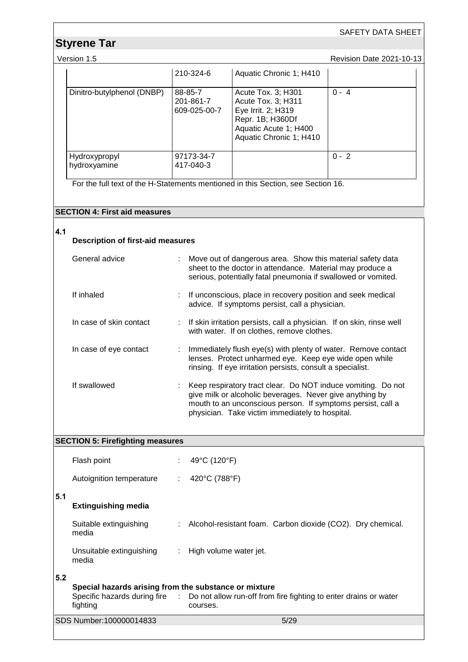# **Styrene Tar**

Version 1.5 **Version 1.5** Revision Date 2021-10-13

|                               | 210-324-6                            | Aquatic Chronic 1; H410                                                                                                                |         |
|-------------------------------|--------------------------------------|----------------------------------------------------------------------------------------------------------------------------------------|---------|
| Dinitro-butylphenol (DNBP)    | 88-85-7<br>201-861-7<br>609-025-00-7 | Acute Tox. 3; H301<br>Acute Tox. 3; H311<br>Eye Irrit. 2; H319<br>Repr. 1B; H360Df<br>Aquatic Acute 1; H400<br>Aquatic Chronic 1; H410 | $0 - 4$ |
| Hydroxypropyl<br>hydroxyamine | 97173-34-7<br>417-040-3              |                                                                                                                                        | $0 - 2$ |

For the full text of the H-Statements mentioned in this Section, see Section 16.

### **SECTION 4: First aid measures**

# **4.1**

| <b>Description of first-aid measures</b> |                           |                                                                                                                                                                                                                                            |
|------------------------------------------|---------------------------|--------------------------------------------------------------------------------------------------------------------------------------------------------------------------------------------------------------------------------------------|
| General advice                           |                           | Move out of dangerous area. Show this material safety data<br>sheet to the doctor in attendance. Material may produce a<br>serious, potentially fatal pneumonia if swallowed or vomited.                                                   |
| If inhaled                               |                           | : If unconscious, place in recovery position and seek medical<br>advice. If symptoms persist, call a physician.                                                                                                                            |
| In case of skin contact                  |                           | : If skin irritation persists, call a physician. If on skin, rinse well<br>with water. If on clothes, remove clothes.                                                                                                                      |
| In case of eye contact                   | $\mathbb{Z}^{\mathbb{Z}}$ | Immediately flush eye(s) with plenty of water. Remove contact<br>lenses. Protect unharmed eye. Keep eye wide open while<br>rinsing. If eye irritation persists, consult a specialist.                                                      |
| If swallowed                             |                           | Keep respiratory tract clear. Do NOT induce vomiting. Do not<br>give milk or alcoholic beverages. Never give anything by<br>mouth to an unconscious person. If symptoms persist, call a<br>physician. Take victim immediately to hospital. |

|     | <b>SECTION 5: Firefighting measures</b>                           |    |                                                                                                             |
|-----|-------------------------------------------------------------------|----|-------------------------------------------------------------------------------------------------------------|
|     | Flash point                                                       |    | 49°C (120°F)                                                                                                |
|     | Autoignition temperature                                          | ÷. | 420°C (788°F)                                                                                               |
| 5.1 | <b>Extinguishing media</b>                                        |    |                                                                                                             |
|     | Suitable extinguishing<br>media                                   |    | : Alcohol-resistant foam. Carbon dioxide (CO2). Dry chemical.                                               |
|     | Unsuitable extinguishing : High volume water jet.<br>media        |    |                                                                                                             |
| 5.2 |                                                                   |    |                                                                                                             |
|     | Special hazards arising from the substance or mixture<br>fighting |    | Specific hazards during fire : Do not allow run-off from fire fighting to enter drains or water<br>courses. |
|     | SDS Number:100000014833                                           |    | 5/29                                                                                                        |
|     |                                                                   |    |                                                                                                             |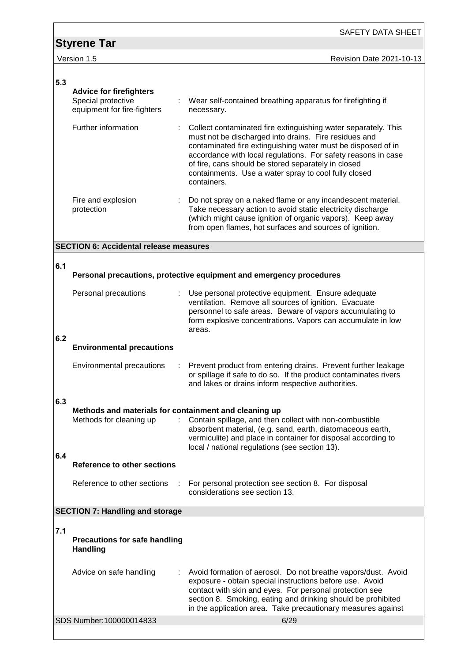|     |                                                                                     | <b>SAFETY DATA SHEET</b>                                                                                                                                                                                                                                                                                                                                                               |
|-----|-------------------------------------------------------------------------------------|----------------------------------------------------------------------------------------------------------------------------------------------------------------------------------------------------------------------------------------------------------------------------------------------------------------------------------------------------------------------------------------|
|     | <b>Styrene Tar</b>                                                                  |                                                                                                                                                                                                                                                                                                                                                                                        |
|     | Version 1.5                                                                         | Revision Date 2021-10-13                                                                                                                                                                                                                                                                                                                                                               |
|     |                                                                                     |                                                                                                                                                                                                                                                                                                                                                                                        |
| 5.3 | <b>Advice for firefighters</b><br>Special protective<br>equipment for fire-fighters | Wear self-contained breathing apparatus for firefighting if<br>necessary.                                                                                                                                                                                                                                                                                                              |
|     | Further information                                                                 | Collect contaminated fire extinguishing water separately. This<br>must not be discharged into drains. Fire residues and<br>contaminated fire extinguishing water must be disposed of in<br>accordance with local regulations. For safety reasons in case<br>of fire, cans should be stored separately in closed<br>containments. Use a water spray to cool fully closed<br>containers. |
|     | Fire and explosion<br>protection                                                    | Do not spray on a naked flame or any incandescent material.<br>Take necessary action to avoid static electricity discharge<br>(which might cause ignition of organic vapors). Keep away<br>from open flames, hot surfaces and sources of ignition.                                                                                                                                     |
|     | <b>SECTION 6: Accidental release measures</b>                                       |                                                                                                                                                                                                                                                                                                                                                                                        |
| 6.1 |                                                                                     |                                                                                                                                                                                                                                                                                                                                                                                        |
|     |                                                                                     | Personal precautions, protective equipment and emergency procedures                                                                                                                                                                                                                                                                                                                    |
|     | Personal precautions                                                                | Use personal protective equipment. Ensure adequate<br>ventilation. Remove all sources of ignition. Evacuate<br>personnel to safe areas. Beware of vapors accumulating to<br>form explosive concentrations. Vapors can accumulate in low<br>areas.                                                                                                                                      |
| 6.2 | <b>Environmental precautions</b>                                                    |                                                                                                                                                                                                                                                                                                                                                                                        |
|     | Environmental precautions                                                           | Prevent product from entering drains. Prevent further leakage<br>or spillage if safe to do so. If the product contaminates rivers<br>and lakes or drains inform respective authorities.                                                                                                                                                                                                |
| 6.3 |                                                                                     |                                                                                                                                                                                                                                                                                                                                                                                        |
|     | Methods and materials for containment and cleaning up<br>Methods for cleaning up    | Contain spillage, and then collect with non-combustible<br>absorbent material, (e.g. sand, earth, diatomaceous earth,<br>vermiculite) and place in container for disposal according to<br>local / national regulations (see section 13).                                                                                                                                               |
| 6.4 | Reference to other sections                                                         |                                                                                                                                                                                                                                                                                                                                                                                        |
|     | Reference to other sections                                                         | For personal protection see section 8. For disposal<br>considerations see section 13.                                                                                                                                                                                                                                                                                                  |
|     | <b>SECTION 7: Handling and storage</b>                                              |                                                                                                                                                                                                                                                                                                                                                                                        |
|     |                                                                                     |                                                                                                                                                                                                                                                                                                                                                                                        |
| 7.1 | <b>Precautions for safe handling</b><br><b>Handling</b>                             |                                                                                                                                                                                                                                                                                                                                                                                        |
|     | Advice on safe handling                                                             | Avoid formation of aerosol. Do not breathe vapors/dust. Avoid<br>exposure - obtain special instructions before use. Avoid<br>contact with skin and eyes. For personal protection see<br>section 8. Smoking, eating and drinking should be prohibited<br>in the application area. Take precautionary measures against                                                                   |
|     | SDS Number:100000014833                                                             | 6/29                                                                                                                                                                                                                                                                                                                                                                                   |
|     |                                                                                     |                                                                                                                                                                                                                                                                                                                                                                                        |

<u> 1980 - Johann Barn, mars ann an t-Amhain Aonaichte ann an t-Aonaichte ann an t-Aonaichte ann an t-Aonaichte a</u>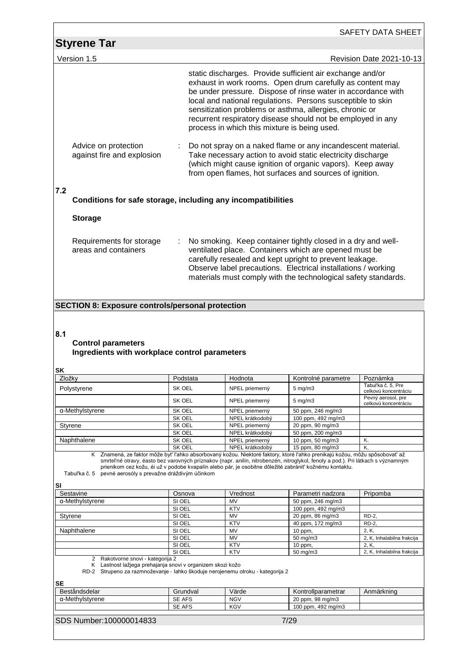| <b>Styrene Tar</b><br>Version 1.5                                                                                                        |                                                                                                                                                                                                                                                                                                                                                                                                                      |                                                                                                                                                                                                                                                                                                                                                                                                                                 |                       | SAFETY DATA SHEET                          |
|------------------------------------------------------------------------------------------------------------------------------------------|----------------------------------------------------------------------------------------------------------------------------------------------------------------------------------------------------------------------------------------------------------------------------------------------------------------------------------------------------------------------------------------------------------------------|---------------------------------------------------------------------------------------------------------------------------------------------------------------------------------------------------------------------------------------------------------------------------------------------------------------------------------------------------------------------------------------------------------------------------------|-----------------------|--------------------------------------------|
|                                                                                                                                          |                                                                                                                                                                                                                                                                                                                                                                                                                      |                                                                                                                                                                                                                                                                                                                                                                                                                                 |                       |                                            |
|                                                                                                                                          |                                                                                                                                                                                                                                                                                                                                                                                                                      |                                                                                                                                                                                                                                                                                                                                                                                                                                 |                       | <b>Revision Date 2021-10-13</b>            |
|                                                                                                                                          |                                                                                                                                                                                                                                                                                                                                                                                                                      | static discharges. Provide sufficient air exchange and/or<br>exhaust in work rooms. Open drum carefully as content may<br>be under pressure. Dispose of rinse water in accordance with<br>local and national regulations. Persons susceptible to skin<br>sensitization problems or asthma, allergies, chronic or<br>recurrent respiratory disease should not be employed in any<br>process in which this mixture is being used. |                       |                                            |
| Advice on protection<br>against fire and explosion                                                                                       |                                                                                                                                                                                                                                                                                                                                                                                                                      | Do not spray on a naked flame or any incandescent material.<br>Take necessary action to avoid static electricity discharge<br>(which might cause ignition of organic vapors). Keep away<br>from open flames, hot surfaces and sources of ignition.                                                                                                                                                                              |                       |                                            |
| 7.2                                                                                                                                      | Conditions for safe storage, including any incompatibilities                                                                                                                                                                                                                                                                                                                                                         |                                                                                                                                                                                                                                                                                                                                                                                                                                 |                       |                                            |
| <b>Storage</b>                                                                                                                           |                                                                                                                                                                                                                                                                                                                                                                                                                      |                                                                                                                                                                                                                                                                                                                                                                                                                                 |                       |                                            |
| Requirements for storage<br>areas and containers                                                                                         |                                                                                                                                                                                                                                                                                                                                                                                                                      | No smoking. Keep container tightly closed in a dry and well-<br>ventilated place. Containers which are opened must be<br>carefully resealed and kept upright to prevent leakage.<br>Observe label precautions. Electrical installations / working<br>materials must comply with the technological safety standards.                                                                                                             |                       |                                            |
|                                                                                                                                          |                                                                                                                                                                                                                                                                                                                                                                                                                      |                                                                                                                                                                                                                                                                                                                                                                                                                                 |                       |                                            |
| 8.1<br><b>Control parameters</b>                                                                                                         |                                                                                                                                                                                                                                                                                                                                                                                                                      |                                                                                                                                                                                                                                                                                                                                                                                                                                 |                       |                                            |
|                                                                                                                                          | Ingredients with workplace control parameters                                                                                                                                                                                                                                                                                                                                                                        |                                                                                                                                                                                                                                                                                                                                                                                                                                 |                       |                                            |
|                                                                                                                                          | Podstata                                                                                                                                                                                                                                                                                                                                                                                                             | Hodnota                                                                                                                                                                                                                                                                                                                                                                                                                         | Kontrolné parametre   | Poznámka                                   |
|                                                                                                                                          | SK OEL                                                                                                                                                                                                                                                                                                                                                                                                               | NPEL priemerný                                                                                                                                                                                                                                                                                                                                                                                                                  | $5 \text{ mg/m}$ 3    | Tabul'ka č. 5, Pre<br>celkovú koncentráciu |
|                                                                                                                                          | SK OEL                                                                                                                                                                                                                                                                                                                                                                                                               | NPEL priemerný                                                                                                                                                                                                                                                                                                                                                                                                                  | $5 \text{ mg/m}$ 3    | Pevný aerosol, pre<br>celkovú koncentráciu |
|                                                                                                                                          | SK OEL                                                                                                                                                                                                                                                                                                                                                                                                               | NPEL priemerný                                                                                                                                                                                                                                                                                                                                                                                                                  | 50 ppm, 246 mg/m3     |                                            |
|                                                                                                                                          | SK OEL                                                                                                                                                                                                                                                                                                                                                                                                               | NPEL krátkodobý                                                                                                                                                                                                                                                                                                                                                                                                                 | 100 ppm, 492 mg/m3    |                                            |
|                                                                                                                                          | SK OEL                                                                                                                                                                                                                                                                                                                                                                                                               | NPEL priemerný                                                                                                                                                                                                                                                                                                                                                                                                                  | 20 ppm, 90 mg/m3      |                                            |
|                                                                                                                                          | SK OEL                                                                                                                                                                                                                                                                                                                                                                                                               | NPEL krátkodobý                                                                                                                                                                                                                                                                                                                                                                                                                 | 50 ppm, 200 mg/m3     |                                            |
|                                                                                                                                          | SK OEL<br>SK OEL                                                                                                                                                                                                                                                                                                                                                                                                     | NPEL priemerný                                                                                                                                                                                                                                                                                                                                                                                                                  | 10 ppm, 50 mg/m3      | Κ,<br>K,                                   |
| Tabul'ka č. 5                                                                                                                            | K Znamená, ze faktor môže byť ľahko absorbovaný kožou. Niektoré faktory, ktoré ľahko prenikajú kožou, môžu spôsobovať až<br>smrteľné otravy, éasto bez varovných príznakov (napr. anilín, nitrobenzén, nitroglykol, fenoly a pod.). Pri látkach s významným<br>prienikom cez kožu, éi už v podobe kvapalín alebo pár, je osobitne dôležité zabrániť kožnému kontaktu.<br>pevné aerosóly s prevažne dráždivým účinkom | NPEL krátkodobý                                                                                                                                                                                                                                                                                                                                                                                                                 | 15 ppm, 80 mg/m3      |                                            |
|                                                                                                                                          | Osnova                                                                                                                                                                                                                                                                                                                                                                                                               | Vrednost                                                                                                                                                                                                                                                                                                                                                                                                                        | Parametri nadzora     | Pripomba                                   |
|                                                                                                                                          | SI OEL                                                                                                                                                                                                                                                                                                                                                                                                               | MV                                                                                                                                                                                                                                                                                                                                                                                                                              | 50 ppm, 246 mg/m3     |                                            |
|                                                                                                                                          | SI OEL                                                                                                                                                                                                                                                                                                                                                                                                               | <b>KTV</b>                                                                                                                                                                                                                                                                                                                                                                                                                      | 100 ppm, 492 mg/m3    |                                            |
|                                                                                                                                          | SI OEL                                                                                                                                                                                                                                                                                                                                                                                                               | MV                                                                                                                                                                                                                                                                                                                                                                                                                              | 20 ppm, 86 mg/m3      | RD-2,                                      |
|                                                                                                                                          | SI OEL                                                                                                                                                                                                                                                                                                                                                                                                               | <b>KTV</b>                                                                                                                                                                                                                                                                                                                                                                                                                      | 40 ppm, 172 mg/m3     | RD-2,                                      |
|                                                                                                                                          | SI OEL                                                                                                                                                                                                                                                                                                                                                                                                               | MV<br><b>MV</b>                                                                                                                                                                                                                                                                                                                                                                                                                 | 10 ppm,               | 2, K,                                      |
| SΚ<br>Zložky<br>Polystyrene<br>α-Methylstyrene<br>Styrene<br>Naphthalene<br>SI<br>Sestavine<br>α-Methylstyrene<br>Styrene<br>Naphthalene | SI OEL<br>SI OEL                                                                                                                                                                                                                                                                                                                                                                                                     | KTV                                                                                                                                                                                                                                                                                                                                                                                                                             | 50 mg/m3<br>$10$ ppm, | 2, K, Inhalabilna frakcija<br>2, K,        |

SDS Number:100000014833 7/29

α-Methylstyrene SE AFS NGV 20 ppm, 98 mg/m3

Beståndsdelar Grundval Värde Kontrollparametrar Anmärkning

SE AFS NGV 20 ppm, 98 mg/m3<br>SE AFS KGV 100 ppm, 492 mg/m3

**Beståndsdelar**<br>α-Methylstyrene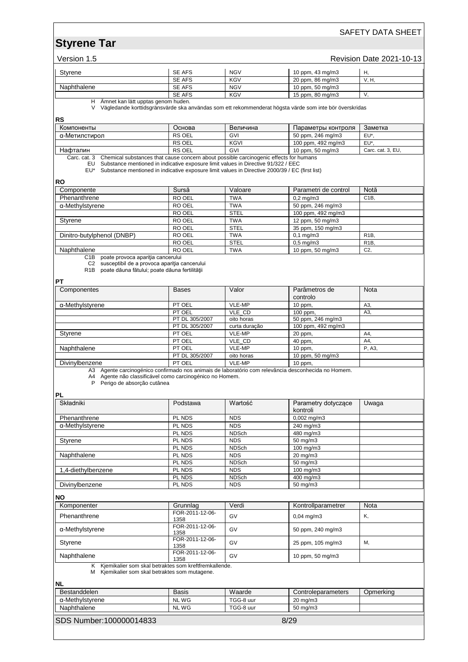# **Styrene Tar**

Version 1.5 **Revision Date 2021-10-13** 

|                                                                                                                                                                                                                  |                                                                                       |                            |                                                                                                          | $5.00011$ Dato L02 1 |
|------------------------------------------------------------------------------------------------------------------------------------------------------------------------------------------------------------------|---------------------------------------------------------------------------------------|----------------------------|----------------------------------------------------------------------------------------------------------|----------------------|
| Styrene                                                                                                                                                                                                          | <b>SE AFS</b>                                                                         | <b>NGV</b>                 | 10 ppm, 43 mg/m3                                                                                         | Η,                   |
|                                                                                                                                                                                                                  | <b>SE AFS</b>                                                                         | <b>KGV</b>                 | 20 ppm, 86 mg/m3                                                                                         | V, H,                |
| Naphthalene                                                                                                                                                                                                      | SE AFS                                                                                | <b>NGV</b>                 | 10 ppm, 50 mg/m3                                                                                         |                      |
| H Ämnet kan lätt upptas genom huden.                                                                                                                                                                             | <b>SE AFS</b>                                                                         | <b>KGV</b>                 | 15 ppm, 80 mg/m3                                                                                         | V,                   |
|                                                                                                                                                                                                                  |                                                                                       |                            | V Vägledande korttidsgränsvärde ska användas som ett rekommenderat högsta värde som inte bör överskridas |                      |
| RS<br>Компоненты                                                                                                                                                                                                 | Основа                                                                                | Величина                   |                                                                                                          | Заметка              |
| α-Метилстирол                                                                                                                                                                                                    | <b>RS OEL</b>                                                                         | GVI                        | Параметры контроля<br>50 ppm, 246 mg/m3                                                                  | EU*,                 |
|                                                                                                                                                                                                                  | RS OEL                                                                                | <b>KGVI</b>                | 100 ppm, 492 mg/m3                                                                                       | EU*,                 |
| Нафталин                                                                                                                                                                                                         | RS OEL                                                                                | GVI                        | 10 ppm, 50 mg/m3                                                                                         | Carc. cat. 3, EU,    |
| Carc. cat. 3<br>EU Substance mentioned in indicative exposure limit values in Directive 91/322 / EEC<br>EU* Substance mentioned in indicative exposure limit values in Directive 2000/39 / EC (first list)<br>RO | Chemical substances that cause concern about possible carcinogenic effects for humans |                            |                                                                                                          |                      |
| Componente                                                                                                                                                                                                       | Sursă                                                                                 | Valoare                    | Parametri de control                                                                                     | Notă                 |
| Phenanthrene                                                                                                                                                                                                     | RO OEL                                                                                | <b>TWA</b>                 | $0,2$ mg/m $3$                                                                                           | C <sub>1</sub> B,    |
| α-Methylstyrene                                                                                                                                                                                                  | <b>RO OEL</b>                                                                         | <b>TWA</b>                 | 50 ppm, 246 mg/m3                                                                                        |                      |
|                                                                                                                                                                                                                  | RO OEL                                                                                | <b>STEL</b>                | 100 ppm, 492 mg/m3                                                                                       |                      |
| Styrene                                                                                                                                                                                                          | RO OEL                                                                                | <b>TWA</b>                 | 12 ppm, 50 mg/m3                                                                                         |                      |
|                                                                                                                                                                                                                  | RO OEL                                                                                | <b>STEL</b>                | 35 ppm, 150 mg/m3                                                                                        |                      |
| Dinitro-butylphenol (DNBP)                                                                                                                                                                                       | RO OEL                                                                                | <b>TWA</b>                 | $0,1$ mg/m $3$                                                                                           | R <sub>1</sub> B,    |
|                                                                                                                                                                                                                  | RO OEL                                                                                | <b>STEL</b>                | $0,5$ mg/m $3$                                                                                           | R <sub>1</sub> B,    |
| Naphthalene<br>C1B poate provoca apariția cancerului                                                                                                                                                             | RO OEL                                                                                | <b>TWA</b>                 | 10 ppm, 50 mg/m3                                                                                         | C <sub>2</sub>       |
| C2 susceptibil de a provoca apariția cancerului<br>R1B poate dăuna fătului; poate dăuna fertilității<br>PT                                                                                                       |                                                                                       |                            |                                                                                                          |                      |
| Componentes                                                                                                                                                                                                      | <b>Bases</b>                                                                          | Valor                      | Parâmetros de<br>controlo                                                                                | Nota                 |
| α-Methylstyrene                                                                                                                                                                                                  | PT OEL                                                                                | VLE-MP                     | 10 ppm,                                                                                                  | A3,                  |
|                                                                                                                                                                                                                  | PT OEL                                                                                | VLE CD                     | 100 ppm,                                                                                                 | A3,                  |
|                                                                                                                                                                                                                  | PT DL 305/2007                                                                        | oito horas                 | 50 ppm, 246 mg/m3                                                                                        |                      |
|                                                                                                                                                                                                                  | PT DL 305/2007                                                                        | curta duração              | 100 ppm, 492 mg/m3                                                                                       |                      |
| Styrene                                                                                                                                                                                                          | PT OEL                                                                                | VLE-MP                     | 20 ppm,                                                                                                  | A4,                  |
|                                                                                                                                                                                                                  | PT OEL                                                                                | VLE_CD                     | 40 ppm,                                                                                                  | A4,                  |
| Naphthalene                                                                                                                                                                                                      | PT OEL<br>PT DL 305/2007                                                              | VLE-MP                     | 10 ppm,                                                                                                  | P, A3,               |
| Divinylbenzene                                                                                                                                                                                                   | PT OEL                                                                                | oito horas<br>VLE-MP       | 10 ppm, 50 mg/m3<br>10 ppm,                                                                              |                      |
| A4 Agente não classificável como carcinogénico no Homem.<br>P Perigo de absorção cutânea<br>PL<br>Składniki                                                                                                      | Podstawa                                                                              | Wartość                    | Parametry dotyczące                                                                                      | Uwaga                |
|                                                                                                                                                                                                                  |                                                                                       |                            | kontroli                                                                                                 |                      |
| Phenanthrene                                                                                                                                                                                                     | PL NDS                                                                                | <b>NDS</b>                 | $0,002$ mg/m3                                                                                            |                      |
| α-Methylstyrene                                                                                                                                                                                                  | PL NDS<br>PL NDS                                                                      | <b>NDS</b><br><b>NDSch</b> | 240 mg/m3<br>480 mg/m3                                                                                   |                      |
| Styrene                                                                                                                                                                                                          | PL NDS                                                                                | <b>NDS</b>                 | 50 mg/m3                                                                                                 |                      |
|                                                                                                                                                                                                                  | PL NDS                                                                                | <b>NDSch</b>               | 100 mg/m3                                                                                                |                      |
| Naphthalene                                                                                                                                                                                                      | PL NDS                                                                                | <b>NDS</b>                 | 20 mg/m3                                                                                                 |                      |
|                                                                                                                                                                                                                  | PL NDS                                                                                | <b>NDSch</b>               | 50 mg/m3                                                                                                 |                      |
| 1,4-diethylbenzene                                                                                                                                                                                               | PL NDS                                                                                | <b>NDS</b>                 | 100 mg/m3                                                                                                |                      |
|                                                                                                                                                                                                                  | PL NDS                                                                                | <b>NDSch</b>               | 400 mg/m3                                                                                                |                      |
| Divinylbenzene                                                                                                                                                                                                   | PL NDS                                                                                | <b>NDS</b>                 | 50 mg/m3                                                                                                 |                      |
| NΟ                                                                                                                                                                                                               |                                                                                       |                            |                                                                                                          |                      |
| Komponenter                                                                                                                                                                                                      | Grunnlag                                                                              | Verdi                      | Kontrollparametrer                                                                                       | Nota                 |
| Phenanthrene                                                                                                                                                                                                     | FOR-2011-12-06-<br>1358                                                               | GV                         | $0,04 \, \text{mg/m3}$                                                                                   | Κ,                   |
| α-Methylstyrene                                                                                                                                                                                                  | FOR-2011-12-06-<br>1358                                                               | GV                         | 50 ppm, 240 mg/m3                                                                                        |                      |
| Styrene                                                                                                                                                                                                          | FOR-2011-12-06-<br>1358                                                               | GV                         | 25 ppm, 105 mg/m3                                                                                        | М,                   |
| Naphthalene                                                                                                                                                                                                      | FOR-2011-12-06-<br>1358                                                               | GV                         | 10 ppm, 50 mg/m3                                                                                         |                      |
| K Kjemikalier som skal betraktes som kreftfremkallende.<br>M Kjemikalier som skal betraktes som mutagene.                                                                                                        |                                                                                       |                            |                                                                                                          |                      |
| ΝL                                                                                                                                                                                                               |                                                                                       |                            |                                                                                                          |                      |
| Bestanddelen                                                                                                                                                                                                     | Basis                                                                                 | Waarde                     | Controleparameters                                                                                       | Opmerking            |
| α-Methylstyrene                                                                                                                                                                                                  | <b>NLWG</b>                                                                           | TGG-8 uur                  | 20 mg/m3                                                                                                 |                      |
| Naphthalene                                                                                                                                                                                                      | <b>NLWG</b>                                                                           | TGG-8 uur                  | 50 mg/m3                                                                                                 |                      |
| SDS Number: 100000014833                                                                                                                                                                                         |                                                                                       |                            | 8/29                                                                                                     |                      |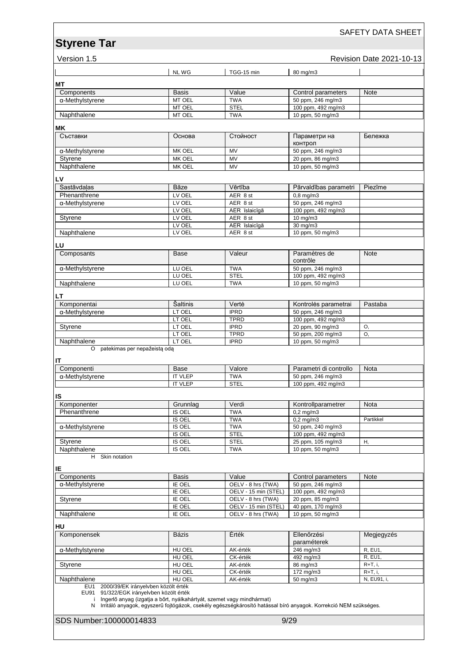### SAFETY DATA SHEET

# **Version 1.5 Revision Date 2021-10-13**

|                                                                                     | NL WG                                                                   | TGG-15 min                                                                                                        | 80 mg/m3                              |                |
|-------------------------------------------------------------------------------------|-------------------------------------------------------------------------|-------------------------------------------------------------------------------------------------------------------|---------------------------------------|----------------|
| MТ                                                                                  |                                                                         |                                                                                                                   |                                       |                |
| Components                                                                          | Basis                                                                   | Value                                                                                                             | Control parameters                    | Note           |
| α-Methylstyrene                                                                     | MT OEL                                                                  | <b>TWA</b>                                                                                                        | 50 ppm, 246 mg/m3                     |                |
|                                                                                     | MT OEL                                                                  | <b>STEL</b>                                                                                                       | 100 ppm, 492 mg/m3                    |                |
| Naphthalene                                                                         | MT OEL                                                                  | <b>TWA</b>                                                                                                        | 10 ppm, 50 mg/m3                      |                |
| ΜK                                                                                  |                                                                         |                                                                                                                   |                                       |                |
| Съставки                                                                            | Основа                                                                  | Стойност                                                                                                          | Параметри на<br>контрол               | Бележка        |
| $\overline{\alpha}$ -Methylstyrene                                                  | MK OEL                                                                  | MV                                                                                                                | 50 ppm, 246 mg/m3                     |                |
| Styrene                                                                             | MK OEL                                                                  | MV                                                                                                                | 20 ppm, 86 mg/m3                      |                |
| Naphthalene                                                                         | MK OEL                                                                  | <b>MV</b>                                                                                                         | 10 ppm, 50 mg/m3                      |                |
| LV                                                                                  |                                                                         |                                                                                                                   |                                       |                |
| Sastāvdalas                                                                         | Bāze                                                                    | Vērtība                                                                                                           | Pārvaldības parametri                 | Piezīme        |
| Phenanthrene                                                                        | LV OEL                                                                  | AER 8 st                                                                                                          | $0,8$ mg/m $3$                        |                |
| α-Methylstyrene                                                                     | LV OEL                                                                  | AER 8 st                                                                                                          | 50 ppm, 246 mg/m3                     |                |
|                                                                                     | LV OEL                                                                  | AER īslaicīgā                                                                                                     | 100 ppm, 492 mg/m3                    |                |
| Styrene                                                                             | LV OEL                                                                  | AER 8 st                                                                                                          | $10 \text{ mg/m}$                     |                |
|                                                                                     | LV OEL                                                                  | AER īslaicīgā                                                                                                     | $30 \text{ mg/m}$                     |                |
| Naphthalene                                                                         | LV OEL                                                                  | AER 8 st                                                                                                          | 10 ppm, 50 mg/m3                      |                |
| LU                                                                                  |                                                                         |                                                                                                                   |                                       |                |
| Composants                                                                          | <b>Base</b>                                                             | Valeur                                                                                                            | Paramètres de<br>contrôle             | Note           |
| α-Methylstyrene                                                                     | LU OEL                                                                  | <b>TWA</b>                                                                                                        | 50 ppm, 246 mg/m3                     |                |
|                                                                                     | LU OEL                                                                  | <b>STEL</b>                                                                                                       | 100 ppm, 492 mg/m3                    |                |
| Naphthalene                                                                         | LU OEL                                                                  | <b>TWA</b>                                                                                                        | 10 ppm, 50 mg/m3                      |                |
| LT                                                                                  |                                                                         |                                                                                                                   |                                       |                |
| Komponentai                                                                         | Šaltinis                                                                | Vertė                                                                                                             | Kontrolės parametrai                  | Pastaba        |
| α-Methylstyrene                                                                     | LT OEL                                                                  | <b>IPRD</b>                                                                                                       | 50 ppm, 246 mg/m3                     |                |
|                                                                                     | LT OEL                                                                  | <b>TPRD</b>                                                                                                       | 100 ppm, 492 mg/m3                    |                |
| Styrene                                                                             | LT OEL                                                                  | <b>IPRD</b>                                                                                                       | 20 ppm, 90 mg/m3                      | O,             |
|                                                                                     | LT OEL                                                                  | <b>TPRD</b>                                                                                                       | 50 ppm, 200 mg/m3                     | O.             |
| Naphthalene                                                                         | LT OEL                                                                  | <b>IPRD</b>                                                                                                       | 10 ppm, 50 mg/m3                      |                |
| O patekimas per nepažeistą odą                                                      |                                                                         |                                                                                                                   |                                       |                |
| IΤ                                                                                  |                                                                         |                                                                                                                   |                                       |                |
| Componenti                                                                          | <b>Base</b>                                                             | Valore                                                                                                            | Parametri di controllo                | <b>Nota</b>    |
| α-Methylstyrene                                                                     | <b>IT VLEP</b>                                                          | <b>TWA</b>                                                                                                        | 50 ppm, 246 mg/m3                     |                |
|                                                                                     | <b>IT VLEP</b>                                                          | <b>STEL</b>                                                                                                       | 100 ppm, 492 mg/m3                    |                |
| IS                                                                                  |                                                                         |                                                                                                                   |                                       |                |
| Komponenter                                                                         | Grunnlag                                                                | Verdi                                                                                                             | Kontrollparametrer                    | Nota           |
| Phenanthrene                                                                        | <b>IS OEL</b>                                                           | <b>TWA</b>                                                                                                        | $0,2$ mg/m $3$                        |                |
|                                                                                     | IS OEL                                                                  | TWA                                                                                                               | $0,2$ mg/m $3$                        | Partikkel      |
| α-Methylstyrene                                                                     | IS OEL                                                                  | <b>TWA</b>                                                                                                        | 50 ppm, 240 mg/m3                     |                |
|                                                                                     | <b>IS OEL</b>                                                           | <b>STEL</b>                                                                                                       | 100 ppm, 492 mg/m3                    |                |
| Styrene                                                                             | IS OEL                                                                  | <b>STEL</b>                                                                                                       | 25 ppm, 105 mg/m3                     | Η,             |
| Naphthalene                                                                         | IS OEL                                                                  | <b>TWA</b>                                                                                                        | 10 ppm, 50 mg/m3                      |                |
| Skin notation<br>H                                                                  |                                                                         |                                                                                                                   |                                       |                |
| IΕ                                                                                  |                                                                         |                                                                                                                   |                                       |                |
| Components                                                                          | <b>Basis</b>                                                            | Value                                                                                                             | Control parameters                    | Note           |
| α-Methylstyrene                                                                     | IE OEL                                                                  | OELV - 8 hrs (TWA)                                                                                                | 50 ppm, 246 mg/m3                     |                |
|                                                                                     | IE OEL                                                                  | OELV - 15 min (STEL)                                                                                              | 100 ppm, 492 mg/m3                    |                |
| Styrene                                                                             | IE OEL                                                                  | OELV - 8 hrs (TWA)                                                                                                | 20 ppm, 85 mg/m3                      |                |
| Naphthalene                                                                         | IE OEL<br>IE OEL                                                        | OELV - 15 min (STEL)<br>OELV - 8 hrs (TWA)                                                                        | 40 ppm, 170 mg/m3<br>10 ppm, 50 mg/m3 |                |
|                                                                                     |                                                                         |                                                                                                                   |                                       |                |
| HU                                                                                  |                                                                         |                                                                                                                   |                                       |                |
| Komponensek                                                                         | <b>Bázis</b>                                                            | Érték                                                                                                             | Ellenőrzési<br>paraméterek            | Megjegyzés     |
| α-Methylstyrene                                                                     | HU OEL                                                                  | AK-érték                                                                                                          | 246 mg/m3                             | <b>R, EU1,</b> |
|                                                                                     | HU OEL                                                                  | CK-érték                                                                                                          | 492 mg/m3                             | <b>R, EU1,</b> |
| Styrene                                                                             | HU OEL                                                                  | AK-érték                                                                                                          | 86 mg/m3                              | R+T, i,        |
|                                                                                     | HU OEL                                                                  | CK-érték                                                                                                          | 172 mg/m3                             | R+T, i,        |
| Naphthalene                                                                         | HU OEL                                                                  | AK-érték                                                                                                          | 50 mg/m3                              | N, EU91, i,    |
| EU1 2000/39/EK irányelvben közölt érték<br>EU91 91/322/EGK irányelvben közölt érték | i Ingerlő anyag (izgatja a bőrt, nyálkahártyát, szemet vagy mindhármat) | N Irritáló anyagok, egyszerű fojtógázok, csekély egészségkárosító hatással bíró anyagok. Korrekció NEM szükséges. |                                       |                |
| SDS Number: 100000014833                                                            |                                                                         | 9/29                                                                                                              |                                       |                |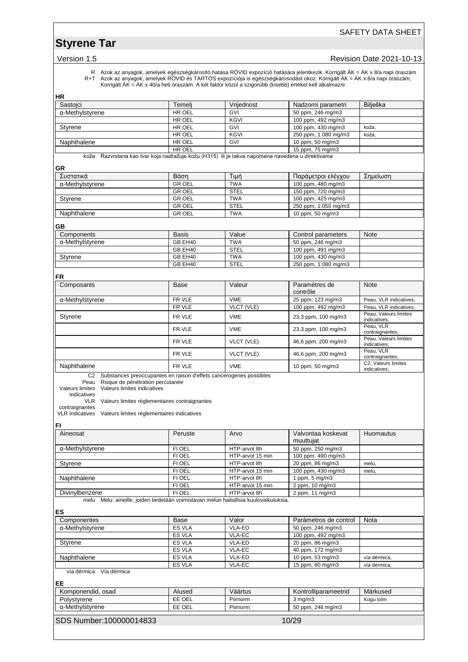# **Styrene Tar**

### Version 1.5 **Version 1.5** Revision Date 2021-10-13

R Azok az anyagok, amelyek egészségkárosító hatása RÖVID expozíció hatására jelentkezik. Korrigált ÁK = ÁK x 8/a napi óraszám R+T Azok az anyagok, amelyek RÖVID és TARTÓS expozíciója is egészségkárosodást okoz. Korrigált ÁK = ÁK x 8/a napi óraszám; Korrigált ÁK = ÁK x 40/a heti óraszám. A két faktor közül a szigorúbb (kisebb) értéket kell alkalmazni

|--|

| Sastojci                                                                                                                                                                                                                                 | Temelj           | Vrijednost                       | Nadzorni parametri                     | Bilješka                                           |
|------------------------------------------------------------------------------------------------------------------------------------------------------------------------------------------------------------------------------------------|------------------|----------------------------------|----------------------------------------|----------------------------------------------------|
| α-Methylstyrene                                                                                                                                                                                                                          | HR OEL           | GVI                              | 50 ppm, 246 mg/m3                      |                                                    |
|                                                                                                                                                                                                                                          | HR OEL           | KGVI                             | 100 ppm, 492 mg/m3                     |                                                    |
| Styrene                                                                                                                                                                                                                                  | HR OEL           | <b>GVI</b>                       | 100 ppm, 430 mg/m3                     | koža,                                              |
|                                                                                                                                                                                                                                          | HR OEL           | KGVI                             | 250 ppm, 1.080 mg/m3                   | koža,                                              |
| Naphthalene                                                                                                                                                                                                                              | HR OEL           | GVI                              | 10 ppm, 50 mg/m3                       |                                                    |
|                                                                                                                                                                                                                                          | HR OEL           |                                  | 15 ppm, 75 mg/m3                       |                                                    |
| koža Razvrstana kao tvar koja nadražuje kožu (H315) ili je takva napomena navedena u direktivama<br>GR                                                                                                                                   |                  |                                  |                                        |                                                    |
| Συστατικά                                                                                                                                                                                                                                | Βάση             | Τιμή                             | Παράμετροι ελέγχου                     | Σημείωση                                           |
| α-Methylstyrene                                                                                                                                                                                                                          | <b>GR OEL</b>    | <b>TWA</b>                       | 100 ppm, 480 mg/m3                     |                                                    |
|                                                                                                                                                                                                                                          | <b>GROEL</b>     | <b>STEL</b>                      | 150 ppm, 720 mg/m3                     |                                                    |
| Styrene                                                                                                                                                                                                                                  | <b>GR OEL</b>    | <b>TWA</b>                       | 100 ppm, 425 mg/m3                     |                                                    |
|                                                                                                                                                                                                                                          | <b>GR OEL</b>    | <b>STEL</b>                      | 250 ppm, 1.050 mg/m3                   |                                                    |
| Naphthalene                                                                                                                                                                                                                              | <b>GR OEL</b>    | <b>TWA</b>                       | 10 ppm, 50 mg/m3                       |                                                    |
| GВ                                                                                                                                                                                                                                       |                  |                                  |                                        |                                                    |
| Components                                                                                                                                                                                                                               | <b>Basis</b>     | Value                            | Control parameters                     | Note                                               |
| α-Methylstyrene                                                                                                                                                                                                                          | GB EH40          | <b>TWA</b>                       | 50 ppm, 246 mg/m3                      |                                                    |
|                                                                                                                                                                                                                                          | GB EH40          | <b>STEL</b>                      | 100 ppm, 491 mg/m3                     |                                                    |
| Styrene                                                                                                                                                                                                                                  | GB EH40          | <b>TWA</b>                       | 100 ppm, 430 mg/m3                     |                                                    |
|                                                                                                                                                                                                                                          | GB EH40          | <b>STEL</b>                      | 250 ppm, 1.080 mg/m3                   |                                                    |
| FR                                                                                                                                                                                                                                       |                  |                                  |                                        |                                                    |
| Composants                                                                                                                                                                                                                               | Base             | Valeur                           | Paramètres de<br>contrôle              | Note                                               |
| α-Methylstyrene                                                                                                                                                                                                                          | FR VLE           | <b>VME</b>                       | 25 ppm, 123 mg/m3                      | Peau, VLR indicatives,                             |
|                                                                                                                                                                                                                                          | FR VLE           | VLCT (VLE)                       | 100 ppm, 492 mg/m3                     | Peau, VLR indicatives,                             |
| Styrene                                                                                                                                                                                                                                  | FR VLE           | <b>VME</b>                       | 23,3 ppm, 100 mg/m3                    | Peau, Valeurs limites<br>indicatives.<br>Peau, VLR |
|                                                                                                                                                                                                                                          | FR VLE           | <b>VME</b>                       | 23,3 ppm, 100 mg/m3                    | contraignantes,<br>Peau, Valeurs limites           |
|                                                                                                                                                                                                                                          | FR VLE           | VLCT (VLE)                       | 46,6 ppm, 200 mg/m3                    | indicatives,<br>Peau, VLR                          |
|                                                                                                                                                                                                                                          | FR VLE           | VLCT (VLE)                       | 46,6 ppm, 200 mg/m3                    | contraignantes,<br>C2, Valeurs limites             |
| Naphthalene                                                                                                                                                                                                                              | FR VLE           | <b>VME</b>                       | 10 ppm, 50 mg/m3                       | indicatives,                                       |
| Peau Risque de pénétration percutanée<br>Valeurs limites Valeurs limites indicatives<br>indicatives<br>VLR Valeurs limites réglementaires contraignantes<br>contraignantes<br>VLR indicatives Valeurs limites réglementaires indicatives |                  |                                  |                                        |                                                    |
| FI                                                                                                                                                                                                                                       |                  |                                  |                                        |                                                    |
| Aineosat                                                                                                                                                                                                                                 | Peruste          | Arvo                             | Valvontaa koskevat<br>muuttujat        | Huomautus                                          |
| α-Methylstyrene                                                                                                                                                                                                                          | FI OEL           | HTP-arvot 8h                     | 50 ppm, 250 mg/m3                      |                                                    |
|                                                                                                                                                                                                                                          | FI OEL           | HTP-arvot 15 min                 | 100 ppm, 490 mg/m3                     |                                                    |
| Styrene                                                                                                                                                                                                                                  | FI OEL<br>FI OEL | HTP-arvot 8h<br>HTP-arvot 15 min | 20 ppm, 86 mg/m3<br>100 ppm, 430 mg/m3 | melu,<br>melu,                                     |
| Naphthalene                                                                                                                                                                                                                              | FI OEL           | HTP-arvot 8h                     | 1 ppm, 5 mg/m3                         |                                                    |
|                                                                                                                                                                                                                                          | <b>FI OEL</b>    | HTP-arvot 15 min                 | 2 ppm, 10 mg/m3                        |                                                    |
| Divinylbenzene                                                                                                                                                                                                                           | FI OEL           | HTP-arvot 8h                     | 2 ppm, 11 mg/m3                        |                                                    |
| melu Melu: aineille, joiden tiedetään voimistavan melun haitallisia kuulovaikutuksia.                                                                                                                                                    |                  |                                  |                                        |                                                    |
| ES                                                                                                                                                                                                                                       |                  |                                  |                                        |                                                    |
| Componentes                                                                                                                                                                                                                              | Base             | Valor                            | Parámetros de control                  | Nota                                               |
| α-Methylstyrene                                                                                                                                                                                                                          | ES VLA           | VLA-ED                           | 50 ppm, 246 mg/m3                      |                                                    |
|                                                                                                                                                                                                                                          | <b>ES VLA</b>    | VLA-EC                           | 100 ppm, 492 mg/m3                     |                                                    |
| Styrene                                                                                                                                                                                                                                  | ES VLA           | VLA-ED                           | 20 ppm, 86 mg/m3                       |                                                    |
|                                                                                                                                                                                                                                          | ES VLA           | VLA-EC                           | 40 ppm, 172 mg/m3                      |                                                    |
| Naphthalene                                                                                                                                                                                                                              | ES VLA           | VLA-ED                           | 10 ppm, 53 mg/m3                       | vía dérmica,                                       |
| vía dérmica Vía dérmica                                                                                                                                                                                                                  | ES VLA           | VLA-EC                           | 15 ppm, 80 mg/m3                       | vía dérmica,                                       |
| EE                                                                                                                                                                                                                                       |                  |                                  |                                        |                                                    |
| Komponendid, osad                                                                                                                                                                                                                        |                  |                                  | Kontrolliparameetrid                   | Märkused                                           |
| Polystyrene                                                                                                                                                                                                                              |                  |                                  |                                        |                                                    |
|                                                                                                                                                                                                                                          | Alused           | Väärtus                          |                                        |                                                    |
|                                                                                                                                                                                                                                          | EE OEL           | Piirnorm                         | $3$ mg/m $3$                           | Kogu tolm                                          |
| α-Methylstyrene<br>SDS Number:100000014833                                                                                                                                                                                               | EE OEL           | Piirnorm                         | 50 ppm, 246 mg/m3<br>10/29             |                                                    |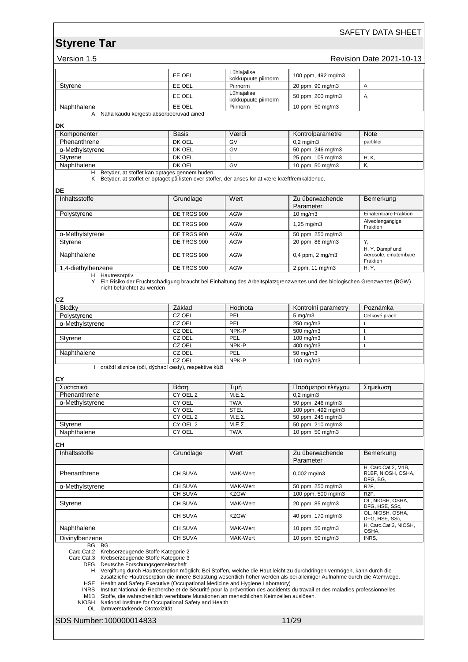### SAFETY DATA SHEET

| Version 1.5 |  |
|-------------|--|
|             |  |

# **Revision Date 2021-10-13**

|                                                                                                                                                                                                                                                                                                                                                                                                                                                                                                                                                                                                                                                                                                                                                                                       | EE OEL             | Lühiajalise<br>kokkupuute piirnorm | 100 ppm, 492 mg/m3                  |                                                       |  |  |
|---------------------------------------------------------------------------------------------------------------------------------------------------------------------------------------------------------------------------------------------------------------------------------------------------------------------------------------------------------------------------------------------------------------------------------------------------------------------------------------------------------------------------------------------------------------------------------------------------------------------------------------------------------------------------------------------------------------------------------------------------------------------------------------|--------------------|------------------------------------|-------------------------------------|-------------------------------------------------------|--|--|
| Styrene                                                                                                                                                                                                                                                                                                                                                                                                                                                                                                                                                                                                                                                                                                                                                                               | EE OEL             | Piirnorm                           | 20 ppm, 90 mg/m3                    | А,                                                    |  |  |
|                                                                                                                                                                                                                                                                                                                                                                                                                                                                                                                                                                                                                                                                                                                                                                                       | EE OEL             | Lühiajalise<br>kokkupuute piirnorm | 50 ppm, 200 mg/m3                   | А,                                                    |  |  |
| Naphthalene                                                                                                                                                                                                                                                                                                                                                                                                                                                                                                                                                                                                                                                                                                                                                                           | EE OEL             | Piirnorm                           | 10 ppm, 50 mg/m3                    |                                                       |  |  |
| A Naha kaudu kergesti absorbeeruvad ained                                                                                                                                                                                                                                                                                                                                                                                                                                                                                                                                                                                                                                                                                                                                             |                    |                                    |                                     |                                                       |  |  |
| DK                                                                                                                                                                                                                                                                                                                                                                                                                                                                                                                                                                                                                                                                                                                                                                                    |                    |                                    |                                     |                                                       |  |  |
| Komponenter                                                                                                                                                                                                                                                                                                                                                                                                                                                                                                                                                                                                                                                                                                                                                                           | <b>Basis</b>       | Værdi                              | Kontrolparametre                    | Note                                                  |  |  |
| Phenanthrene                                                                                                                                                                                                                                                                                                                                                                                                                                                                                                                                                                                                                                                                                                                                                                          | DK OEL             | GV                                 | $0,2$ mg/m $3$                      | partikler                                             |  |  |
| α-Methylstyrene                                                                                                                                                                                                                                                                                                                                                                                                                                                                                                                                                                                                                                                                                                                                                                       | DK OEL             | GV                                 | 50 ppm, 246 mg/m3                   |                                                       |  |  |
| Styrene                                                                                                                                                                                                                                                                                                                                                                                                                                                                                                                                                                                                                                                                                                                                                                               | DK OEL             | L                                  | 25 ppm, 105 mg/m3                   | H, K,                                                 |  |  |
| Naphthalene                                                                                                                                                                                                                                                                                                                                                                                                                                                                                                                                                                                                                                                                                                                                                                           | DK OEL             | GV                                 | 10 ppm, 50 mg/m3                    | Κ,                                                    |  |  |
| H Betyder, at stoffet kan optages gennem huden.<br>K Betyder, at stoffet er optaget på listen over stoffer, der anses for at være kræftfremkaldende.                                                                                                                                                                                                                                                                                                                                                                                                                                                                                                                                                                                                                                  |                    |                                    |                                     |                                                       |  |  |
| DE                                                                                                                                                                                                                                                                                                                                                                                                                                                                                                                                                                                                                                                                                                                                                                                    |                    |                                    |                                     |                                                       |  |  |
| Inhaltsstoffe                                                                                                                                                                                                                                                                                                                                                                                                                                                                                                                                                                                                                                                                                                                                                                         | Grundlage          | Wert                               | Zu überwachende<br>Parameter        | Bemerkung                                             |  |  |
| Polystyrene                                                                                                                                                                                                                                                                                                                                                                                                                                                                                                                                                                                                                                                                                                                                                                           | DE TRGS 900        | <b>AGW</b>                         | 10 mg/m3                            | Einatembare Fraktion                                  |  |  |
|                                                                                                                                                                                                                                                                                                                                                                                                                                                                                                                                                                                                                                                                                                                                                                                       | DE TRGS 900        | <b>AGW</b>                         | 1,25 mg/m3                          | Alveolengängige<br>Fraktion                           |  |  |
| $\overline{\alpha}$ -Methylstyrene                                                                                                                                                                                                                                                                                                                                                                                                                                                                                                                                                                                                                                                                                                                                                    | DE TRGS 900        | <b>AGW</b>                         | 50 ppm, 250 mg/m3                   |                                                       |  |  |
| Styrene                                                                                                                                                                                                                                                                                                                                                                                                                                                                                                                                                                                                                                                                                                                                                                               | DE TRGS 900        | <b>AGW</b>                         | 20 ppm, 86 mg/m3                    | Υ.                                                    |  |  |
| Naphthalene                                                                                                                                                                                                                                                                                                                                                                                                                                                                                                                                                                                                                                                                                                                                                                           | DE TRGS 900        | <b>AGW</b>                         | $0,4$ ppm, $2$ mg/m $3$             | H, Y, Dampf und<br>Aerosole, einatembare<br>Fraktion  |  |  |
| 1,4-diethylbenzene                                                                                                                                                                                                                                                                                                                                                                                                                                                                                                                                                                                                                                                                                                                                                                    | DE TRGS 900        | <b>AGW</b>                         | 2 ppm, 11 mg/m3                     | H, Y,                                                 |  |  |
| H Hautresorptiv<br>Y Ein Risiko der Fruchtschädigung braucht bei Einhaltung des Arbeitsplatzgrenzwertes und des biologischen Grenzwertes (BGW)<br>nicht befürchtet zu werden<br>CZ                                                                                                                                                                                                                                                                                                                                                                                                                                                                                                                                                                                                    |                    |                                    |                                     |                                                       |  |  |
| Složky                                                                                                                                                                                                                                                                                                                                                                                                                                                                                                                                                                                                                                                                                                                                                                                | Základ             | Hodnota                            | Kontrolní parametry                 | Poznámka                                              |  |  |
| Polystyrene                                                                                                                                                                                                                                                                                                                                                                                                                                                                                                                                                                                                                                                                                                                                                                           | CZ OEL             | PEL                                | $5 \text{ mg/m}$ 3                  | Celkové prach                                         |  |  |
| α-Methylstyrene                                                                                                                                                                                                                                                                                                                                                                                                                                                                                                                                                                                                                                                                                                                                                                       | CZ OEL             | PEL                                | 250 mg/m3                           | Τ,                                                    |  |  |
|                                                                                                                                                                                                                                                                                                                                                                                                                                                                                                                                                                                                                                                                                                                                                                                       | CZ OEL             | NPK-P                              | 500 mg/m3                           | I.                                                    |  |  |
| Styrene                                                                                                                                                                                                                                                                                                                                                                                                                                                                                                                                                                                                                                                                                                                                                                               | CZ OEL             | PEL                                | 100 mg/m3                           | Τ,                                                    |  |  |
|                                                                                                                                                                                                                                                                                                                                                                                                                                                                                                                                                                                                                                                                                                                                                                                       | CZ OEL             | NPK-P                              | 400 mg/m3                           | L.                                                    |  |  |
| Naphthalene                                                                                                                                                                                                                                                                                                                                                                                                                                                                                                                                                                                                                                                                                                                                                                           | CZ OEL             | PEL                                | 50 mg/m3                            |                                                       |  |  |
|                                                                                                                                                                                                                                                                                                                                                                                                                                                                                                                                                                                                                                                                                                                                                                                       | CZ OEL             | NPK-P                              | 100 mg/m3                           |                                                       |  |  |
| I dráždí sliznice (oči, dýchací cesty), respektive kůži                                                                                                                                                                                                                                                                                                                                                                                                                                                                                                                                                                                                                                                                                                                               |                    |                                    |                                     |                                                       |  |  |
| СY<br>Συστατικά                                                                                                                                                                                                                                                                                                                                                                                                                                                                                                                                                                                                                                                                                                                                                                       | Βάση               | Τιμή                               |                                     | Σημείωση                                              |  |  |
| Phenanthrene                                                                                                                                                                                                                                                                                                                                                                                                                                                                                                                                                                                                                                                                                                                                                                          |                    | $M.E.\Sigma.$                      | Παράμετροι ελέγχου                  |                                                       |  |  |
| α-Methylstyrene                                                                                                                                                                                                                                                                                                                                                                                                                                                                                                                                                                                                                                                                                                                                                                       | CY OEL 2<br>CY OEL | <b>TWA</b>                         | $0,2$ mg/m $3$<br>50 ppm, 246 mg/m3 |                                                       |  |  |
|                                                                                                                                                                                                                                                                                                                                                                                                                                                                                                                                                                                                                                                                                                                                                                                       | <b>CY OEL</b>      | <b>STEL</b>                        | 100 ppm, 492 mg/m3                  |                                                       |  |  |
|                                                                                                                                                                                                                                                                                                                                                                                                                                                                                                                                                                                                                                                                                                                                                                                       | CY OEL 2           | $M.E.\Sigma$                       | 50 ppm, 245 mg/m3                   |                                                       |  |  |
| Styrene                                                                                                                                                                                                                                                                                                                                                                                                                                                                                                                                                                                                                                                                                                                                                                               | CY OEL 2           | $M.E.\Sigma.$                      | 50 ppm, 210 mg/m3                   |                                                       |  |  |
| Naphthalene                                                                                                                                                                                                                                                                                                                                                                                                                                                                                                                                                                                                                                                                                                                                                                           | CY OEL             | <b>TWA</b>                         | 10 ppm, 50 mg/m3                    |                                                       |  |  |
|                                                                                                                                                                                                                                                                                                                                                                                                                                                                                                                                                                                                                                                                                                                                                                                       |                    |                                    |                                     |                                                       |  |  |
| CН                                                                                                                                                                                                                                                                                                                                                                                                                                                                                                                                                                                                                                                                                                                                                                                    |                    |                                    |                                     |                                                       |  |  |
| Inhaltsstoffe                                                                                                                                                                                                                                                                                                                                                                                                                                                                                                                                                                                                                                                                                                                                                                         | Grundlage          | Wert                               | Zu überwachende<br>Parameter        | Bemerkung                                             |  |  |
| Phenanthrene                                                                                                                                                                                                                                                                                                                                                                                                                                                                                                                                                                                                                                                                                                                                                                          | CH SUVA            | MAK-Wert                           | $0,002$ mg/m3                       | H, Carc.Cat.2, M1B,<br>R1BF, NIOSH, OSHA,<br>DFG, BG, |  |  |
| α-Methylstyrene                                                                                                                                                                                                                                                                                                                                                                                                                                                                                                                                                                                                                                                                                                                                                                       | CH SUVA            | MAK-Wert                           | 50 ppm, 250 mg/m3                   | R <sub>2F</sub>                                       |  |  |
|                                                                                                                                                                                                                                                                                                                                                                                                                                                                                                                                                                                                                                                                                                                                                                                       | <b>CH SUVA</b>     | <b>KZGW</b>                        | 100 ppm, 500 mg/m3                  | R <sub>2</sub> F.                                     |  |  |
| Styrene                                                                                                                                                                                                                                                                                                                                                                                                                                                                                                                                                                                                                                                                                                                                                                               | CH SUVA            | MAK-Wert                           | 20 ppm, 85 mg/m3                    | OL, NIOSH, OSHA,<br>DFG, HSE, SSc,                    |  |  |
|                                                                                                                                                                                                                                                                                                                                                                                                                                                                                                                                                                                                                                                                                                                                                                                       | CH SUVA            | <b>KZGW</b>                        | 40 ppm, 170 mg/m3                   | OL, NIOSH, OSHA,<br>DFG, HSE, SSc,                    |  |  |
| Naphthalene                                                                                                                                                                                                                                                                                                                                                                                                                                                                                                                                                                                                                                                                                                                                                                           | CH SUVA            | MAK-Wert                           | 10 ppm, 50 mg/m3                    | H, Carc.Cat.3, NIOSH,<br>OSHA,                        |  |  |
| Divinylbenzene                                                                                                                                                                                                                                                                                                                                                                                                                                                                                                                                                                                                                                                                                                                                                                        | CH SUVA            | MAK-Wert                           | 10 ppm, 50 mg/m3                    | INRS,                                                 |  |  |
| BG BG<br>Carc.Cat.2 Krebserzeugende Stoffe Kategorie 2<br>Carc.Cat.3 Krebserzeugende Stoffe Kategorie 3<br>DFG Deutsche Forschungsgemeinschaft<br>H Vergiftung durch Hautresorption möglich; Bei Stoffen, welche die Haut leicht zu durchdringen vermögen, kann durch die<br>zusätzliche Hautresorption die innere Belastung wesentlich höher werden als bei alleiniger Aufnahme durch die Atemwege.<br>HSE Health and Safety Executive (Occupational Medicine and Hygiene Laboratory)<br>INRS Institut National de Recherche et de Sécurité pour la prévention des accidents du travail et des maladies professionnelles<br>M1B Stoffe, die wahrscheinlich vererbbare Mutationen an menschlichen Keimzellen auslösen.<br>NIOSH National Institute for Occupational Safety and Health |                    |                                    |                                     |                                                       |  |  |
| OL lärmverstärkende Ototoxizität<br>SDS Number:100000014833                                                                                                                                                                                                                                                                                                                                                                                                                                                                                                                                                                                                                                                                                                                           |                    |                                    | 11/29                               |                                                       |  |  |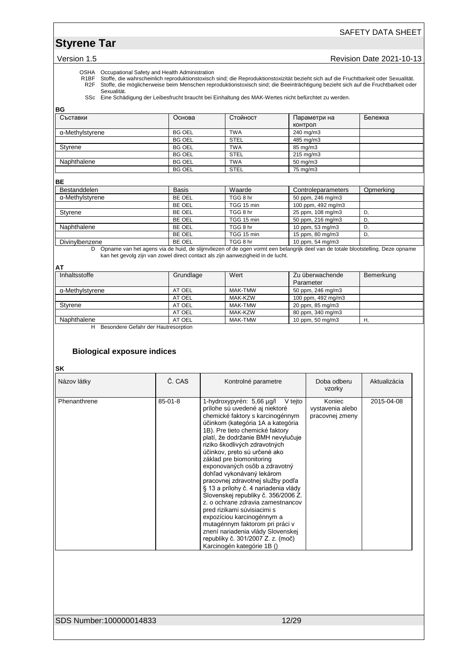### SAFETY DATA SHEET

Version 1.5 **Version 1.5** Revision Date 2021-10-13

OSHA Occupational Safety and Health Administration<br>R1BF Stoffe, die wahrscheinlich reproduktionstoxisch<br>R2F Stoffe, die möglicherweise beim Menschen repi R1BF Stoffe, die wahrscheinlich reproduktionstoxisch sind; die Reproduktionstoxizität bezieht sich auf die Fruchtbarkeit oder Sexualität. R2F Stoffe, die möglicherweise beim Menschen reproduktionstoxisch sind; die Beeinträchtigung bezieht sich auf die Fruchtbarkeit oder Sexualität.

SSc Eine Schädigung der Leibesfrucht braucht bei Einhaltung des MAK-Wertes nicht befürchtet zu werden.

| BG              |               |             |              |         |
|-----------------|---------------|-------------|--------------|---------|
| Съставки        | Основа        | Стойност    | Параметри на | Бележка |
|                 |               |             | КОНТРОЛ      |         |
| α-Methylstyrene | <b>BG OEL</b> | <b>TWA</b>  | 240 mg/m3    |         |
|                 | <b>BG OEL</b> | <b>STEL</b> | 485 mg/m3    |         |
| Styrene         | <b>BG OEL</b> | <b>TWA</b>  | 85 mg/m3     |         |
|                 | <b>BG OEL</b> | <b>STEL</b> | 215 mg/m3    |         |
| Naphthalene     | <b>BG OEL</b> | <b>TWA</b>  | 50 mg/m3     |         |
|                 | <b>BG OEL</b> | <b>STEL</b> | 75 mg/m3     |         |

#### **BE**

| <b>Basis</b> | Waarde     | Controleparameters | Opmerking |
|--------------|------------|--------------------|-----------|
| BE OEL       | TGG 8 hr   | 50 ppm, 246 mg/m3  |           |
| BE OEL       | TGG 15 min | 100 ppm, 492 mg/m3 |           |
| BE OEL       | TGG 8 hr   | 25 ppm, 108 mg/m3  |           |
| BE OEL       | TGG 15 min | 50 ppm, 216 mg/m3  |           |
| BE OEL       | TGG 8 hr   | 10 ppm, 53 mg/m3   |           |
| BE OEL       | TGG 15 min | 15 ppm, 80 mg/m3   |           |
| BE OEL       | TGG 8 hr   | 10 ppm, 54 mg/m3   |           |
|              |            |                    |           |

D Opname van het agens via de huid, de slijmvliezen of de ogen vormt een belangrijk deel van de totale blootstelling. Deze opname kan het gevolg zijn van zowel direct contact als zijn aanwezigheid in de lucht.

#### **AT**

| AI              |           |         |                    |           |
|-----------------|-----------|---------|--------------------|-----------|
| Inhaltsstoffe   | Grundlage | Wert    | Zu überwachende    | Bemerkung |
|                 |           |         | Parameter          |           |
| α-Methylstyrene | AT OEL    | MAK-TMW | 50 ppm, 246 mg/m3  |           |
|                 | AT OEL    | MAK-KZW | 100 ppm, 492 mg/m3 |           |
| Styrene         | AT OEL    | MAK-TMW | 20 ppm, 85 mg/m3   |           |
|                 | AT OEL    | MAK-KZW | 80 ppm, 340 mg/m3  |           |
| Naphthalene     | AT OEL    | MAK-TMW | 10 ppm, 50 mg/m3   |           |
|                 |           |         |                    |           |

H Besondere Gefahr der Hautresorption

#### **Biological exposure indices**

**SK**

| Názov látky  | Č. CAS        | Kontrolné parametre                                                                                                                                                                                                                                                                                                                                                                                                                                                                                                                                                                                                                                                                                                                                  | Doba odberu<br>vzorky                         | Aktualizácia |
|--------------|---------------|------------------------------------------------------------------------------------------------------------------------------------------------------------------------------------------------------------------------------------------------------------------------------------------------------------------------------------------------------------------------------------------------------------------------------------------------------------------------------------------------------------------------------------------------------------------------------------------------------------------------------------------------------------------------------------------------------------------------------------------------------|-----------------------------------------------|--------------|
| Phenanthrene | $85 - 01 - 8$ | 1-hydroxypyrén: 5,66 µg/l<br>V tejto<br>prílohe sú uvedené aj niektoré<br>chemické faktory s karcinogénnym<br>účinkom (kategória 1A a kategória<br>1B). Pre tieto chemické faktory<br>platí, že dodržanie BMH nevylučuje<br>riziko škodlivých zdravotných<br>účinkov, preto sú určené ako<br>základ pre biomonitoring<br>exponovaných osôb a zdravotný<br>dohľad vykonávaný lekárom<br>pracovnej zdravotnej služby podľa<br>§ 13 a prílohy č. 4 nariadenia vlády<br>Slovenskej republiky č. 356/2006 Z.<br>z. o ochrane zdravia zamestnancov<br>pred rizikami súvisiacimi s<br>expozíciou karcinogénnym a<br>mutagénnym faktorom pri práci v<br>znení nariadenia vlády Slovenskej<br>republiky č. 301/2007 Z. z. (moč)<br>Karcinogén kategórie 1B () | Koniec<br>vystavenia alebo<br>pracovnej zmeny | 2015-04-08   |

SDS Number:100000014833 12/29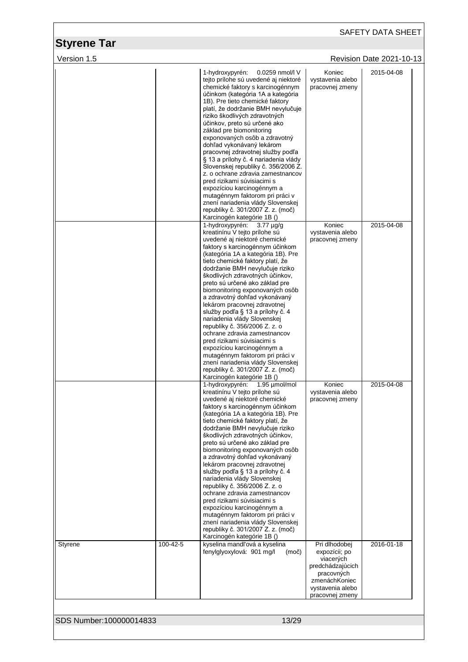|                         |          |                                                                                                                                                                                                                                                                                                                                                                                                                                                                                                                                                                                                                                                                                                                                                                                                       |                                                                                                                                       | SAFETY DATA SHEET                      |
|-------------------------|----------|-------------------------------------------------------------------------------------------------------------------------------------------------------------------------------------------------------------------------------------------------------------------------------------------------------------------------------------------------------------------------------------------------------------------------------------------------------------------------------------------------------------------------------------------------------------------------------------------------------------------------------------------------------------------------------------------------------------------------------------------------------------------------------------------------------|---------------------------------------------------------------------------------------------------------------------------------------|----------------------------------------|
| <b>Styrene Tar</b>      |          |                                                                                                                                                                                                                                                                                                                                                                                                                                                                                                                                                                                                                                                                                                                                                                                                       |                                                                                                                                       |                                        |
| Version 1.5             |          | 1-hydroxypyrén:<br>0.0259 nmol/l V<br>tejto prílohe sú uvedené aj niektoré<br>chemické faktory s karcinogénnym<br>účinkom (kategória 1A a kategória<br>1B). Pre tieto chemické faktory<br>platí, že dodržanie BMH nevylučuje<br>riziko škodlivých zdravotných<br>účinkov, preto sú určené ako<br>základ pre biomonitoring<br>exponovaných osôb a zdravotný<br>dohľad vykonávaný lekárom<br>pracovnej zdravotnej služby podľa<br>§ 13 a prílohy č. 4 nariadenia vlády<br>Slovenskej republiky č. 356/2006 Z.<br>z. o ochrane zdravia zamestnancov<br>pred rizikami súvisiacimi s<br>expozíciou karcinogénnym a<br>mutagénnym faktorom pri práci v<br>znení nariadenia vlády Slovenskej<br>republiky č. 301/2007 Z. z. (moč)                                                                            | Koniec<br>vystavenia alebo<br>pracovnej zmeny                                                                                         | Revision Date 2021-10-13<br>2015-04-08 |
|                         |          | Karcinogén kategórie 1B ()<br>1-hydroxypyrén:<br>$3.77 \mu q/q$<br>kreatinínu V tejto prílohe sú<br>uvedené aj niektoré chemické<br>faktory s karcinogénnym účinkom<br>(kategória 1A a kategória 1B). Pre<br>tieto chemické faktory platí, že<br>dodržanie BMH nevylučuje riziko<br>škodlivých zdravotných účinkov,<br>preto sú určené ako základ pre<br>biomonitoring exponovaných osôb<br>a zdravotný dohľad vykonávaný<br>lekárom pracovnej zdravotnej<br>služby podľa § 13 a prílohy č. 4<br>nariadenia vlády Slovenskej<br>republiky č. 356/2006 Z. z. o<br>ochrane zdravia zamestnancov<br>pred rizikami súvisiacimi s<br>expozíciou karcinogénnym a<br>mutagénnym faktorom pri práci v<br>znení nariadenia vlády Slovenskej<br>republiky č. 301/2007 Z. z. (moč)<br>Karcinogén kategórie 1B () | Koniec<br>vystavenia alebo<br>pracovnej zmeny                                                                                         | 2015-04-08                             |
|                         |          | 1-hydroxypyrén: 1.95 µmol/mol<br>kreatinínu V tejto prílohe sú<br>uvedené aj niektoré chemické<br>faktory s karcinogénnym účinkom<br>(kategória 1A a kategória 1B). Pre<br>tieto chemické faktory platí, že<br>dodržanie BMH nevylučuje riziko<br>škodlivých zdravotných účinkov,<br>preto sú určené ako základ pre<br>biomonitoring exponovaných osôb<br>a zdravotný dohľad vykonávaný<br>lekárom pracovnej zdravotnej<br>služby podľa § 13 a prílohy č. 4<br>nariadenia vlády Slovenskej<br>republiky č. 356/2006 Z. z. o<br>ochrane zdravia zamestnancov<br>pred rizikami súvisiacimi s<br>expozíciou karcinogénnym a<br>mutagénnym faktorom pri práci v<br>znení nariadenia vlády Slovenskej<br>republiky č. 301/2007 Z. z. (moč)<br>Karcinogén kategórie 1B ()                                   | Koniec<br>vystavenia alebo<br>pracovnej zmeny                                                                                         | 2015-04-08                             |
| Styrene                 | 100-42-5 | kyselina mandľová a kyselina<br>fenylglyoxylová: 901 mg/l<br>(moč)                                                                                                                                                                                                                                                                                                                                                                                                                                                                                                                                                                                                                                                                                                                                    | Pri dlhodobej<br>expozícii; po<br>viacerých<br>predchádzajúcich<br>pracovných<br>zmenáchKoniec<br>vystavenia alebo<br>pracovnej zmeny | 2016-01-18                             |
| SDS Number:100000014833 |          | 13/29                                                                                                                                                                                                                                                                                                                                                                                                                                                                                                                                                                                                                                                                                                                                                                                                 |                                                                                                                                       |                                        |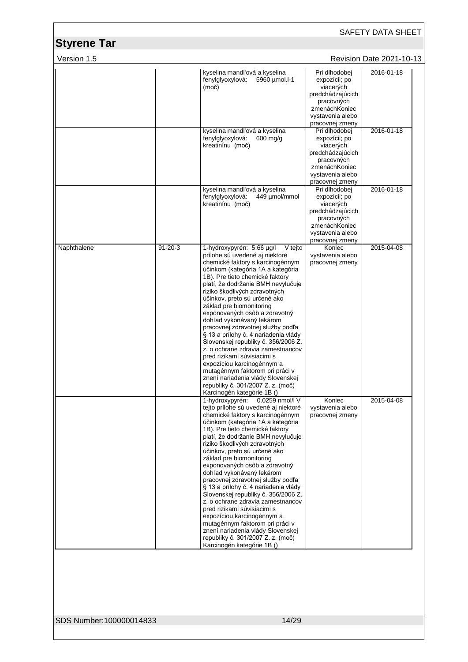| SAFETY DATA SHEET                 |               |                                                                                                                                                                                                                                                                                                                                                                                                                                                                                                                                                                                                                                                                                                                                                          |                                                                                                                                       |                          |  |
|-----------------------------------|---------------|----------------------------------------------------------------------------------------------------------------------------------------------------------------------------------------------------------------------------------------------------------------------------------------------------------------------------------------------------------------------------------------------------------------------------------------------------------------------------------------------------------------------------------------------------------------------------------------------------------------------------------------------------------------------------------------------------------------------------------------------------------|---------------------------------------------------------------------------------------------------------------------------------------|--------------------------|--|
| <b>Styrene Tar</b><br>Version 1.5 |               |                                                                                                                                                                                                                                                                                                                                                                                                                                                                                                                                                                                                                                                                                                                                                          |                                                                                                                                       | Revision Date 2021-10-13 |  |
|                                   |               | kyselina mandľová a kyselina<br>fenylglyoxylová:<br>5960 µmol.l-1<br>(moč)                                                                                                                                                                                                                                                                                                                                                                                                                                                                                                                                                                                                                                                                               | Pri dlhodobej<br>expozícii; po<br>viacerých<br>predchádzajúcich<br>pracovných<br>zmenáchKoniec<br>vystavenia alebo<br>pracovnej zmeny | 2016-01-18               |  |
|                                   |               | kyselina mandľová a kyselina<br>fenylglyoxylová:<br>$600$ mg/g<br>kreatinínu (moč)                                                                                                                                                                                                                                                                                                                                                                                                                                                                                                                                                                                                                                                                       | Pri dlhodobej<br>expozícii; po<br>viacerých<br>predchádzajúcich<br>pracovných<br>zmenáchKoniec<br>vystavenia alebo<br>pracovnej zmeny | 2016-01-18               |  |
|                                   |               | kyselina mandľová a kyselina<br>fenylglyoxylová:<br>449 µmol/mmol<br>kreatinínu (moč)                                                                                                                                                                                                                                                                                                                                                                                                                                                                                                                                                                                                                                                                    | Pri dlhodobej<br>expozícii; po<br>viacerých<br>predchádzajúcich<br>pracovných<br>zmenáchKoniec<br>vystavenia alebo<br>pracovnej zmeny | 2016-01-18               |  |
| Naphthalene                       | $91 - 20 - 3$ | 1-hydroxypyrén: 5,66 µg/l<br>V tejto<br>prílohe sú uvedené aj niektoré<br>chemické faktory s karcinogénnym<br>účinkom (kategória 1A a kategória<br>1B). Pre tieto chemické faktory<br>platí, že dodržanie BMH nevylučuje<br>riziko škodlivých zdravotných<br>účinkov, preto sú určené ako<br>základ pre biomonitoring<br>exponovaných osôb a zdravotný<br>dohľad vykonávaný lekárom<br>pracovnej zdravotnej služby podľa<br>§ 13 a prílohy č. 4 nariadenia vlády<br>Slovenskej republiky č. 356/2006 Z.<br>z. o ochrane zdravia zamestnancov<br>pred rizikami súvisiacimi s<br>expozíciou karcinogénnym a<br>mutagénnym faktorom pri práci v<br>znení nariadenia vlády Slovenskej<br>republiky č. 301/2007 Z. z. (moč)<br>Karcinogén kategórie 1B ()     | Koniec<br>vystavenia alebo<br>pracovnej zmeny                                                                                         | 2015-04-08               |  |
|                                   |               | 1-hydroxypyrén:<br>0.0259 nmol/l V<br>tejto prílohe sú uvedené aj niektoré<br>chemické faktory s karcinogénnym<br>účinkom (kategória 1A a kategória<br>1B). Pre tieto chemické faktory<br>platí, že dodržanie BMH nevylučuje<br>riziko škodlivých zdravotných<br>účinkov, preto sú určené ako<br>základ pre biomonitoring<br>exponovaných osôb a zdravotný<br>dohľad vykonávaný lekárom<br>pracovnej zdravotnej služby podľa<br>§ 13 a prílohy č. 4 nariadenia vlády<br>Slovenskej republiky č. 356/2006 Z.<br>z. o ochrane zdravia zamestnancov<br>pred rizikami súvisiacimi s<br>expozíciou karcinogénnym a<br>mutagénnym faktorom pri práci v<br>znení nariadenia vlády Slovenskej<br>republiky č. 301/2007 Z. z. (moč)<br>Karcinogén kategórie 1B () | Koniec<br>vystavenia alebo<br>pracovnej zmeny                                                                                         | 2015-04-08               |  |

SDS Number:100000014833 14/29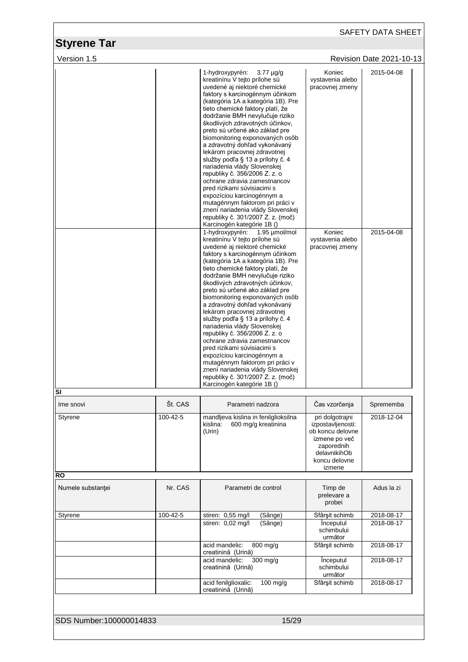|                                   |          |                                                                                                                                                                                                                                                                                                                                                                                                                                                                                                                                                                                                                                                                                                                                                                                                                                                                                                                                                                                                                                                                                                                                                                                                                                                                                                                                                                                                                                                                                                                                                |                                                                                                                                    | SAFETY DATA SHEET               |
|-----------------------------------|----------|------------------------------------------------------------------------------------------------------------------------------------------------------------------------------------------------------------------------------------------------------------------------------------------------------------------------------------------------------------------------------------------------------------------------------------------------------------------------------------------------------------------------------------------------------------------------------------------------------------------------------------------------------------------------------------------------------------------------------------------------------------------------------------------------------------------------------------------------------------------------------------------------------------------------------------------------------------------------------------------------------------------------------------------------------------------------------------------------------------------------------------------------------------------------------------------------------------------------------------------------------------------------------------------------------------------------------------------------------------------------------------------------------------------------------------------------------------------------------------------------------------------------------------------------|------------------------------------------------------------------------------------------------------------------------------------|---------------------------------|
| <b>Styrene Tar</b><br>Version 1.5 |          |                                                                                                                                                                                                                                                                                                                                                                                                                                                                                                                                                                                                                                                                                                                                                                                                                                                                                                                                                                                                                                                                                                                                                                                                                                                                                                                                                                                                                                                                                                                                                |                                                                                                                                    | <b>Revision Date 2021-10-13</b> |
|                                   |          | 1-hydroxypyrén:<br>$3.77 \mu g/g$<br>kreatinínu V tejto prílohe sú<br>uvedené aj niektoré chemické<br>faktory s karcinogénnym účinkom<br>(kategória 1A a kategória 1B). Pre<br>tieto chemické faktory platí, že<br>dodržanie BMH nevylučuje riziko<br>škodlivých zdravotných účinkov,<br>preto sú určené ako základ pre<br>biomonitoring exponovaných osôb<br>a zdravotný dohľad vykonávaný<br>lekárom pracovnej zdravotnej<br>služby podľa § 13 a prílohy č. 4<br>nariadenia vlády Slovenskej<br>republiky č. 356/2006 Z. z. o<br>ochrane zdravia zamestnancov<br>pred rizikami súvisiacimi s<br>expozíciou karcinogénnym a<br>mutagénnym faktorom pri práci v<br>znení nariadenia vlády Slovenskej<br>republiky č. 301/2007 Z. z. (moč)<br>Karcinogén kategórie 1B ()<br>1-hydroxypyrén: 1.95 µmol/mol<br>kreatinínu V tejto prílohe sú<br>uvedené aj niektoré chemické<br>faktory s karcinogénnym účinkom<br>(kategória 1A a kategória 1B). Pre<br>tieto chemické faktory platí, že<br>dodržanie BMH nevylučuje riziko<br>škodlivých zdravotných účinkov,<br>preto sú určené ako základ pre<br>biomonitoring exponovaných osôb<br>a zdravotný dohľad vykonávaný<br>lekárom pracovnej zdravotnej<br>služby podľa § 13 a prílohy č. 4<br>nariadenia vlády Slovenskej<br>republiky č. 356/2006 Z. z. o<br>ochrane zdravia zamestnancov<br>pred rizikami súvisiacimi s<br>expozíciou karcinogénnym a<br>mutagénnym faktorom pri práci v<br>znení nariadenia vlády Slovenskej<br>republiky č. 301/2007 Z. z. (moč)<br>Karcinogén kategórie 1B () | Koniec<br>vystavenia alebo<br>pracovnej zmeny<br>Koniec<br>vystavenia alebo<br>pracovnej zmeny                                     | 2015-04-08<br>2015-04-08        |
| SI<br>Ime snovi                   | Št. CAS  | Parametri nadzora                                                                                                                                                                                                                                                                                                                                                                                                                                                                                                                                                                                                                                                                                                                                                                                                                                                                                                                                                                                                                                                                                                                                                                                                                                                                                                                                                                                                                                                                                                                              | Čas vzorčenja                                                                                                                      | Sprememba                       |
| Styrene                           | 100-42-5 | mandljeva kislina in fenilglioksilna<br>kislina:<br>600 mg/g kreatinina<br>(Urin)                                                                                                                                                                                                                                                                                                                                                                                                                                                                                                                                                                                                                                                                                                                                                                                                                                                                                                                                                                                                                                                                                                                                                                                                                                                                                                                                                                                                                                                              | pri dolgotrajni<br>izpostavljenosti:<br>ob koncu delovne<br>izmene po več<br>zaporednih<br>delavnikihOb<br>koncu delovne<br>izmene | 2018-12-04                      |
| RO                                |          |                                                                                                                                                                                                                                                                                                                                                                                                                                                                                                                                                                                                                                                                                                                                                                                                                                                                                                                                                                                                                                                                                                                                                                                                                                                                                                                                                                                                                                                                                                                                                |                                                                                                                                    |                                 |
| Numele substantei                 | Nr. CAS  | Parametri de control                                                                                                                                                                                                                                                                                                                                                                                                                                                                                                                                                                                                                                                                                                                                                                                                                                                                                                                                                                                                                                                                                                                                                                                                                                                                                                                                                                                                                                                                                                                           | Timp de<br>prelevare a<br>probei                                                                                                   | Adus la zi                      |
| Styrene                           | 100-42-5 | stiren: 0,55 mg/l<br>(Sânge)                                                                                                                                                                                                                                                                                                                                                                                                                                                                                                                                                                                                                                                                                                                                                                                                                                                                                                                                                                                                                                                                                                                                                                                                                                                                                                                                                                                                                                                                                                                   | Sfârșit schimb                                                                                                                     | 2018-08-17                      |
|                                   |          | stiren: 0,02 mg/l<br>(Sânge)                                                                                                                                                                                                                                                                                                                                                                                                                                                                                                                                                                                                                                                                                                                                                                                                                                                                                                                                                                                                                                                                                                                                                                                                                                                                                                                                                                                                                                                                                                                   | Inceputul<br>schimbului<br>următor                                                                                                 | 2018-08-17                      |
|                                   |          | acid mandelic:<br>800 mg/g<br>creatinină (Urină)                                                                                                                                                                                                                                                                                                                                                                                                                                                                                                                                                                                                                                                                                                                                                                                                                                                                                                                                                                                                                                                                                                                                                                                                                                                                                                                                                                                                                                                                                               | Sfârșit schimb                                                                                                                     | 2018-08-17                      |
|                                   |          | 300 mg/g<br>acid mandelic:<br>creatinină (Urină)                                                                                                                                                                                                                                                                                                                                                                                                                                                                                                                                                                                                                                                                                                                                                                                                                                                                                                                                                                                                                                                                                                                                                                                                                                                                                                                                                                                                                                                                                               | <i><u><b>Inceputul</b></u></i><br>schimbului<br>următor                                                                            | 2018-08-17                      |
|                                   |          | acid fenilglioxalic:<br>$100$ mg/g<br>creatinină (Urină)                                                                                                                                                                                                                                                                                                                                                                                                                                                                                                                                                                                                                                                                                                                                                                                                                                                                                                                                                                                                                                                                                                                                                                                                                                                                                                                                                                                                                                                                                       | Sfârșit schimb                                                                                                                     | 2018-08-17                      |
| SDS Number:100000014833           |          | 15/29                                                                                                                                                                                                                                                                                                                                                                                                                                                                                                                                                                                                                                                                                                                                                                                                                                                                                                                                                                                                                                                                                                                                                                                                                                                                                                                                                                                                                                                                                                                                          |                                                                                                                                    |                                 |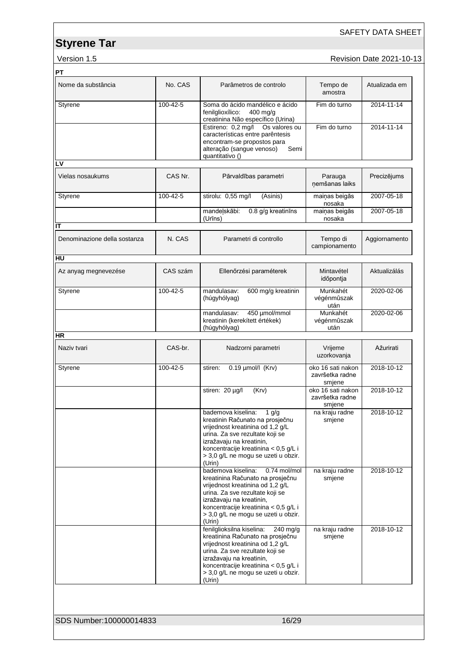### SAFETY DATA SHEET

version 1.5 **Accord 2021-10-13** Revision Date 2021-10-13

| Nome da substância                 | No. CAS        | Parâmetros de controlo                                                                                                                                                                                                                                                | Tempo de<br>amostra                            | Atualizada em |
|------------------------------------|----------------|-----------------------------------------------------------------------------------------------------------------------------------------------------------------------------------------------------------------------------------------------------------------------|------------------------------------------------|---------------|
| Styrene                            | 100-42-5       | Soma do ácido mandélico e ácido<br>fenilglioxílico:<br>$400$ mg/g<br>creatinina Não específico (Urina)                                                                                                                                                                | Fim do turno                                   | 2014-11-14    |
|                                    |                | Estireno: 0,2 mg/l<br>Os valores ou<br>características entre parêntesis<br>encontram-se propostos para<br>alteração (sangue venoso)<br>Semi<br>quantitativo ()                                                                                                        | Fim do turno                                   | 2014-11-14    |
| LV                                 |                |                                                                                                                                                                                                                                                                       |                                                |               |
| Vielas nosaukums                   | CAS Nr.        | Pārvaldības parametri                                                                                                                                                                                                                                                 | Parauga<br>ņemšanas laiks                      | Precizējums   |
| Styrene                            | $100 - 42 - 5$ | stirolu: 0,55 mg/l<br>(Asinis)                                                                                                                                                                                                                                        | maiņas beigās<br>nosaka                        | 2007-05-18    |
|                                    |                | 0.8 g/g kreatinins<br>mandelskābi:<br>(Urīns)                                                                                                                                                                                                                         | mainas beigās<br>nosaka                        | 2007-05-18    |
| IT<br>Denominazione della sostanza | N. CAS         | Parametri di controllo                                                                                                                                                                                                                                                | Tempo di<br>campionamento                      | Aggiornamento |
| HU                                 |                |                                                                                                                                                                                                                                                                       |                                                |               |
| Az anyag megnevezése               | CAS szám       | Ellenőrzési paraméterek                                                                                                                                                                                                                                               | Mintavétel<br>időpontja                        | Aktualizálás  |
| Styrene                            | 100-42-5       | 600 mg/g kreatinin<br>mandulasav:<br>(húgyhólyag)                                                                                                                                                                                                                     | Munkahét<br>végénmûszak<br>után                | 2020-02-06    |
|                                    |                | mandulasav:<br>450 µmol/mmol<br>kreatinin (kerekített értékek)<br>(húgyhólyag)                                                                                                                                                                                        | Munkahét<br>végénmûszak<br>után                | 2020-02-06    |
| HR                                 |                |                                                                                                                                                                                                                                                                       |                                                |               |
| Naziv tvari                        | CAS-br.        | Nadzorni parametri                                                                                                                                                                                                                                                    | Vrijeme<br>uzorkovanja                         | Ažurirati     |
| Styrene                            | 100-42-5       | $0.19$ µmol/l (Krv)<br>stiren:                                                                                                                                                                                                                                        | oko 16 sati nakon<br>završetka radne<br>smjene | 2018-10-12    |
|                                    |                | stiren: 20 µg/l<br>(Krv)                                                                                                                                                                                                                                              | oko 16 sati nakon<br>završetka radne<br>smjene | 2018-10-12    |
|                                    |                | bademova kiselina:<br>$1$ g/g<br>kreatinin Računato na prosječnu<br>vrijednost kreatinina od 1,2 g/L<br>urina. Za sve rezultate koji se<br>izražavaju na kreatinin,<br>koncentracije kreatinina < 0,5 g/L i<br>> 3,0 g/L ne mogu se uzeti u obzir.<br>(Urin)          | na kraju radne<br>smjene                       | 2018-10-12    |
|                                    |                | bademova kiselina:<br>0.74 mol/mol<br>kreatinina Računato na prosječnu<br>vrijednost kreatinina od 1,2 g/L<br>urina. Za sve rezultate koji se<br>izražavaju na kreatinin,<br>koncentracije kreatinina < 0,5 g/L i<br>> 3,0 q/L ne mogu se uzeti u obzir.<br>(Urin)    | na kraju radne<br>smjene                       | 2018-10-12    |
|                                    |                | fenilglioksilna kiselina:<br>$240 \text{ mg/g}$<br>kreatinina Računato na prosječnu<br>vrijednost kreatinina od 1,2 g/L<br>urina. Za sve rezultate koji se<br>izražavaju na kreatinin,<br>koncentracije kreatinina < 0,5 g/L i<br>> 3,0 g/L ne mogu se uzeti u obzir. | na kraju radne<br>smjene                       | 2018-10-12    |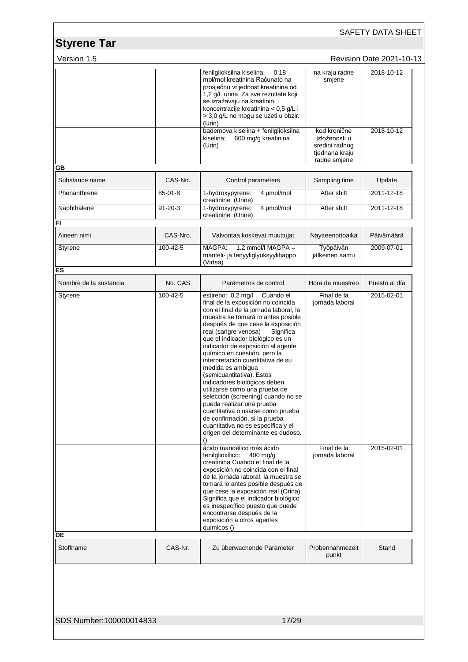| Version 1.5            |                      |                                                                                                                                                                                                                                                                                                                                                                                                                                                                                                                                                                                                                                                                                                                                                                        |                                                                   | <b>Revision Date 2021-10-13</b> |
|------------------------|----------------------|------------------------------------------------------------------------------------------------------------------------------------------------------------------------------------------------------------------------------------------------------------------------------------------------------------------------------------------------------------------------------------------------------------------------------------------------------------------------------------------------------------------------------------------------------------------------------------------------------------------------------------------------------------------------------------------------------------------------------------------------------------------------|-------------------------------------------------------------------|---------------------------------|
|                        |                      | fenilglioksilna kiselina:<br>0.18<br>mol/mol kreatinina Računato na<br>prosječnu vrijednost kreatinina od<br>1,2 g/L urina. Za sve rezultate koji<br>se izražavaju na kreatinin,<br>koncentracije kreatinina < 0,5 g/L i<br>> 3,0 g/L ne mogu se uzeti u obzir.<br>(Urin)<br>bademova kiselina + fenilglioksilna                                                                                                                                                                                                                                                                                                                                                                                                                                                       | na kraju radne<br>smjene<br>kod kronične                          | 2018-10-12<br>2018-10-12        |
|                        |                      | kiselina:<br>600 mg/g kreatinina<br>(Urin)                                                                                                                                                                                                                                                                                                                                                                                                                                                                                                                                                                                                                                                                                                                             | izloženosti u<br>sredini radnog<br>tjednana kraju<br>radne smjene |                                 |
| GВ                     |                      |                                                                                                                                                                                                                                                                                                                                                                                                                                                                                                                                                                                                                                                                                                                                                                        |                                                                   |                                 |
| Substance name         | CAS-No.              | Control parameters                                                                                                                                                                                                                                                                                                                                                                                                                                                                                                                                                                                                                                                                                                                                                     | Sampling time                                                     | Update                          |
| Phenanthrene           | $85 - 01 - 8$        | 4 µmol/mol<br>1-hydroxypyrene:<br>creatinine (Urine)                                                                                                                                                                                                                                                                                                                                                                                                                                                                                                                                                                                                                                                                                                                   | After shift                                                       | 2011-12-18                      |
| Naphthalene            | $91 - 20 - 3$        | 4 µmol/mol<br>1-hydroxypyrene:<br>creatinine (Urine)                                                                                                                                                                                                                                                                                                                                                                                                                                                                                                                                                                                                                                                                                                                   | After shift                                                       | 2011-12-18                      |
| FI                     |                      |                                                                                                                                                                                                                                                                                                                                                                                                                                                                                                                                                                                                                                                                                                                                                                        |                                                                   |                                 |
| Aineen nimi<br>Styrene | CAS-Nro.<br>100-42-5 | Valvontaa koskevat muuttujat<br>$1.2$ mmol/l MAGPA =<br>MAGPA:                                                                                                                                                                                                                                                                                                                                                                                                                                                                                                                                                                                                                                                                                                         | Näytteenottoaika<br>Työpäivän                                     | Päivämäärä<br>2009-07-01        |
|                        |                      | manteli- ja fenyyliglyoksyylihappo<br>(Virtsa)                                                                                                                                                                                                                                                                                                                                                                                                                                                                                                                                                                                                                                                                                                                         | jälkeinen aamu                                                    |                                 |
| ES                     |                      |                                                                                                                                                                                                                                                                                                                                                                                                                                                                                                                                                                                                                                                                                                                                                                        |                                                                   |                                 |
| Nombre de la sustancia | No. CAS              | Parámetros de control                                                                                                                                                                                                                                                                                                                                                                                                                                                                                                                                                                                                                                                                                                                                                  | Hora de muestreo                                                  | Puesto al día                   |
| Styrene                | 100-42-5             | estireno: 0,2 mg/l<br>Cuando el<br>final de la exposición no coincida<br>con el final de la jornada laboral, la<br>muestra se tomará lo antes posible<br>después de que cese la exposición<br>real (sangre venosa)<br>Significa<br>que el indicador biológico es un<br>indicador de exposición al agente<br>químico en cuestión, pero la<br>interpretación cuantitativa de su<br>medida es ambigua<br>(semicuantitativa). Estos<br>indicadores biológicos deben<br>utilizarse como una prueba de<br>selección (screening) cuando no se<br>pueda realizar una prueba<br>cuantitativa o usarse como prueba<br>de confirmación, si la prueba<br>cuantitativa no es específica y el<br>origen del determinante es dudoso.<br>$\left( \right)$<br>ácido mandélico más ácido | Final de la<br>jornada laboral<br>Final de la                     | 2015-02-01<br>2015-02-01        |
| DE                     |                      | fenilglioxílico:<br>400 mg/g<br>creatinina Cuando el final de la<br>exposición no coincida con el final<br>de la jornada laboral, la muestra se<br>tomará lo antes posible después de<br>que cese la exposición real (Orina)<br>Significa que el indicador biológico<br>es inespecífico puesto que puede<br>encontrarse después de la<br>exposición a otros agentes<br>químicos ()                                                                                                                                                                                                                                                                                                                                                                                     | jornada laboral                                                   |                                 |
|                        | CAS-Nr.              | Zu überwachende Parameter                                                                                                                                                                                                                                                                                                                                                                                                                                                                                                                                                                                                                                                                                                                                              | Probennahmezeit<br>punkt                                          | Stand                           |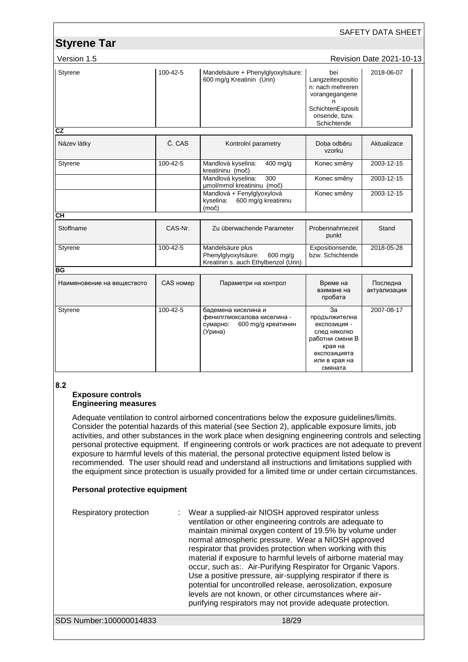|                            |                |                                                                                                 |                                                                                                                               | <b>SAFETY DATA SHEET</b>        |
|----------------------------|----------------|-------------------------------------------------------------------------------------------------|-------------------------------------------------------------------------------------------------------------------------------|---------------------------------|
| <b>Styrene Tar</b>         |                |                                                                                                 |                                                                                                                               |                                 |
| Version 1.5                |                |                                                                                                 |                                                                                                                               | <b>Revision Date 2021-10-13</b> |
| Styrene                    | 100-42-5       | Mandelsäure + Phenylglyoxylsäure:<br>600 mg/g Kreatinin (Urin)                                  | bei<br>Langzeitexpositio<br>n: nach mehreren<br>vorangegangene<br>n<br>SchichtenExpositi<br>onsende, bzw.<br>Schichtende      | 2018-06-07                      |
| $\overline{\text{c}z}$     |                |                                                                                                 |                                                                                                                               |                                 |
| Název látky                | Č. CAS         | Kontrolní parametry                                                                             | Doba odběru<br>vzorku                                                                                                         | Aktualizace                     |
| Styrene                    | 100-42-5       | Mandlová kyselina:<br>400 mg/g<br>kreatininu (moč)                                              | Konec směny                                                                                                                   | 2003-12-15                      |
|                            |                | Mandlová kyselina:<br>300<br>µmol/mmol kreatininu (moč)                                         | Konec směny                                                                                                                   | 2003-12-15                      |
|                            |                | Mandlová + Fenylglyoxylová<br>600 mg/g kreatininu<br>kyselina:<br>(moč)                         | Konec směny                                                                                                                   | 2003-12-15                      |
| <b>CH</b>                  |                |                                                                                                 |                                                                                                                               |                                 |
| Stoffname                  | CAS-Nr.        | Zu überwachende Parameter                                                                       | Probennahmezeit<br>punkt                                                                                                      | Stand                           |
| Styrene                    | 100-42-5       | Mandelsäure plus<br>Phenylglyoxylsäure:<br>600 mg/g<br>Kreatinin s. auch Ethylbenzol (Urin)     | Expositionsende,<br>bzw. Schichtende                                                                                          | 2018-05-28                      |
| ΒG                         |                |                                                                                                 |                                                                                                                               |                                 |
| Наименовение на веществото | CAS номер      | Параметри на контрол                                                                            | Време на<br>взимане на<br>пробата                                                                                             | Последна<br>актуализация        |
| Styrene                    | $100 - 42 - 5$ | бадемена киселина и<br>фенилглиоксалова киселина -<br>сумарно:<br>600 mg/g креатинин<br>(Урина) | За<br>продължителна<br>експозиция -<br>след няколко<br>работни смени В<br>края на<br>експозицията<br>или в края на<br>смяната | 2007-08-17                      |

#### **8.2**

#### **Exposure controls Engineering measures**

Adequate ventilation to control airborned concentrations below the exposure guidelines/limits. Consider the potential hazards of this material (see Section 2), applicable exposure limits, job activities, and other substances in the work place when designing engineering controls and selecting personal protective equipment. If engineering controls or work practices are not adequate to prevent exposure to harmful levels of this material, the personal protective equipment listed below is recommended. The user should read and understand all instructions and limitations supplied with the equipment since protection is usually provided for a limited time or under certain circumstances.

### **Personal protective equipment**

| Respiratory protection  | Wear a supplied-air NIOSH approved respirator unless<br>ventilation or other engineering controls are adequate to<br>maintain minimal oxygen content of 19.5% by volume under<br>normal atmospheric pressure. Wear a NIOSH approved<br>respirator that provides protection when working with this<br>material if exposure to harmful levels of airborne material may<br>occur, such as:. Air-Purifying Respirator for Organic Vapors.<br>Use a positive pressure, air-supplying respirator if there is<br>potential for uncontrolled release, aerosolization, exposure<br>levels are not known, or other circumstances where air-<br>purifying respirators may not provide adequate protection. |
|-------------------------|-------------------------------------------------------------------------------------------------------------------------------------------------------------------------------------------------------------------------------------------------------------------------------------------------------------------------------------------------------------------------------------------------------------------------------------------------------------------------------------------------------------------------------------------------------------------------------------------------------------------------------------------------------------------------------------------------|
| SDS Number:100000014833 | 18/29                                                                                                                                                                                                                                                                                                                                                                                                                                                                                                                                                                                                                                                                                           |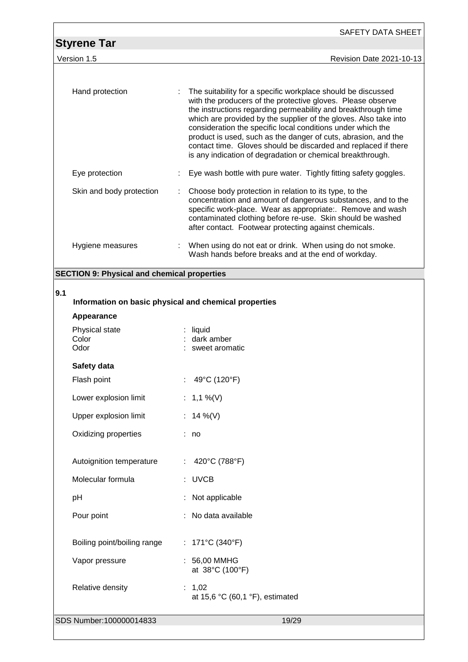|                                                              | SAFETY DATA SHEET                                                                                                                                                                                                                                                                                                                                                                                                                                                                                                                 |
|--------------------------------------------------------------|-----------------------------------------------------------------------------------------------------------------------------------------------------------------------------------------------------------------------------------------------------------------------------------------------------------------------------------------------------------------------------------------------------------------------------------------------------------------------------------------------------------------------------------|
| <b>Styrene Tar</b>                                           |                                                                                                                                                                                                                                                                                                                                                                                                                                                                                                                                   |
| Version 1.5                                                  | Revision Date 2021-10-13                                                                                                                                                                                                                                                                                                                                                                                                                                                                                                          |
|                                                              |                                                                                                                                                                                                                                                                                                                                                                                                                                                                                                                                   |
| Hand protection                                              | The suitability for a specific workplace should be discussed<br>with the producers of the protective gloves. Please observe<br>the instructions regarding permeability and breakthrough time<br>which are provided by the supplier of the gloves. Also take into<br>consideration the specific local conditions under which the<br>product is used, such as the danger of cuts, abrasion, and the<br>contact time. Gloves should be discarded and replaced if there<br>is any indication of degradation or chemical breakthrough. |
| Eye protection                                               | Eye wash bottle with pure water. Tightly fitting safety goggles.                                                                                                                                                                                                                                                                                                                                                                                                                                                                  |
| Skin and body protection                                     | Choose body protection in relation to its type, to the<br>concentration and amount of dangerous substances, and to the<br>specific work-place. Wear as appropriate:. Remove and wash<br>contaminated clothing before re-use. Skin should be washed<br>after contact. Footwear protecting against chemicals.                                                                                                                                                                                                                       |
| Hygiene measures                                             | : When using do not eat or drink. When using do not smoke.<br>Wash hands before breaks and at the end of workday.                                                                                                                                                                                                                                                                                                                                                                                                                 |
| <b>SECTION 9: Physical and chemical properties</b>           |                                                                                                                                                                                                                                                                                                                                                                                                                                                                                                                                   |
| 9.1<br>Information on basic physical and chemical properties |                                                                                                                                                                                                                                                                                                                                                                                                                                                                                                                                   |
| Appearance                                                   |                                                                                                                                                                                                                                                                                                                                                                                                                                                                                                                                   |
| Physical state<br>Color<br>Odor                              | $:$ liquid<br>dark amber<br>sweet aromatic                                                                                                                                                                                                                                                                                                                                                                                                                                                                                        |
| Safety data                                                  |                                                                                                                                                                                                                                                                                                                                                                                                                                                                                                                                   |
| Flash point                                                  | 49°C (120°F)                                                                                                                                                                                                                                                                                                                                                                                                                                                                                                                      |

| Lower explosion limit    | : 1,1 %(V)    |
|--------------------------|---------------|
| Upper explosion limit    | : 14 %(V)     |
| Oxidizing properties     | no            |
| Autoignition temperature | 420°C (788°F) |

Molecular formula : UVCB

pH : Not applicable Pour point : No data available

Boiling point/boiling range : 171°C (340°F)

Vapor pressure : 56,00 MMHG at 38°C (100°F) Relative density : 1,02 at 15,6 °C (60,1 °F), estimated

SDS Number:100000014833 19/29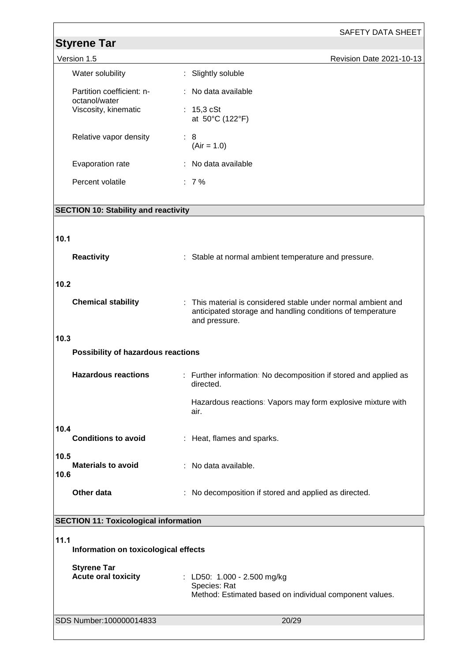|                                                  | SAFETY DATA SHEET                                                                                                                            |
|--------------------------------------------------|----------------------------------------------------------------------------------------------------------------------------------------------|
| <b>Styrene Tar</b>                               |                                                                                                                                              |
| Version 1.5                                      | Revision Date 2021-10-13                                                                                                                     |
| Water solubility                                 | : Slightly soluble                                                                                                                           |
| Partition coefficient: n-<br>octanol/water       | : No data available                                                                                                                          |
| Viscosity, kinematic                             | : $15,3 cSt$<br>at 50°C (122°F)                                                                                                              |
| Relative vapor density                           | : 8<br>$(Air = 1.0)$                                                                                                                         |
| Evaporation rate                                 | : No data available                                                                                                                          |
| Percent volatile                                 | $: 7\%$                                                                                                                                      |
| <b>SECTION 10: Stability and reactivity</b>      |                                                                                                                                              |
|                                                  |                                                                                                                                              |
| 10.1                                             |                                                                                                                                              |
| <b>Reactivity</b>                                | : Stable at normal ambient temperature and pressure.                                                                                         |
| 10.2                                             |                                                                                                                                              |
| <b>Chemical stability</b>                        | : This material is considered stable under normal ambient and<br>anticipated storage and handling conditions of temperature<br>and pressure. |
| 10.3                                             |                                                                                                                                              |
| Possibility of hazardous reactions               |                                                                                                                                              |
| <b>Hazardous reactions</b>                       | : Further information: No decomposition if stored and applied as<br>directed.                                                                |
|                                                  | Hazardous reactions: Vapors may form explosive mixture with<br>air.                                                                          |
| 10.4<br><b>Conditions to avoid</b>               | : Heat, flames and sparks.                                                                                                                   |
| 10.5<br><b>Materials to avoid</b>                | : No data available.                                                                                                                         |
| 10.6                                             |                                                                                                                                              |
| Other data                                       | : No decomposition if stored and applied as directed.                                                                                        |
| <b>SECTION 11: Toxicological information</b>     |                                                                                                                                              |
|                                                  |                                                                                                                                              |
| 11.1<br>Information on toxicological effects     |                                                                                                                                              |
| <b>Styrene Tar</b><br><b>Acute oral toxicity</b> | : LD50: 1.000 - 2.500 mg/kg<br>Species: Rat<br>Method: Estimated based on individual component values.                                       |
| SDS Number:100000014833                          | 20/29                                                                                                                                        |
|                                                  |                                                                                                                                              |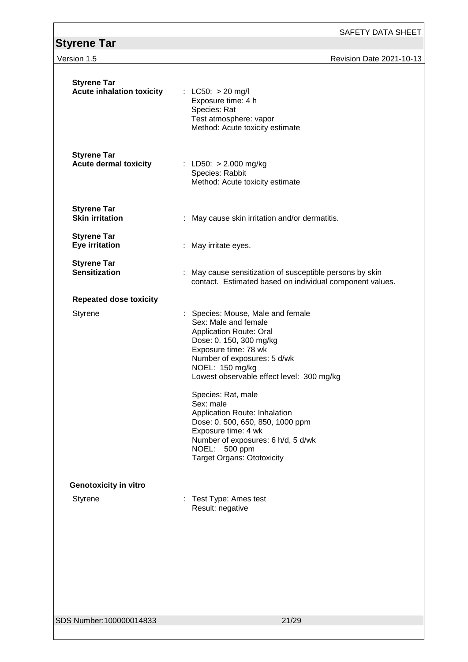SAFETY DATA SHEET

# **Version 1.5 Revision Date 2021-10-13**

| <b>Styrene Tar</b><br><b>Acute inhalation toxicity</b> | : LC50: $> 20$ mg/l<br>Exposure time: 4 h<br>Species: Rat<br>Test atmosphere: vapor<br>Method: Acute toxicity estimate                                                                                                                                                                                                                                                                                                                                                      |
|--------------------------------------------------------|-----------------------------------------------------------------------------------------------------------------------------------------------------------------------------------------------------------------------------------------------------------------------------------------------------------------------------------------------------------------------------------------------------------------------------------------------------------------------------|
| <b>Styrene Tar</b><br><b>Acute dermal toxicity</b>     | : LD50: $> 2.000$ mg/kg<br>Species: Rabbit<br>Method: Acute toxicity estimate                                                                                                                                                                                                                                                                                                                                                                                               |
| <b>Styrene Tar</b><br><b>Skin irritation</b>           | : May cause skin irritation and/or dermatitis.                                                                                                                                                                                                                                                                                                                                                                                                                              |
| <b>Styrene Tar</b><br><b>Eye irritation</b>            | : May irritate eyes.                                                                                                                                                                                                                                                                                                                                                                                                                                                        |
| <b>Styrene Tar</b><br><b>Sensitization</b>             | ÷<br>May cause sensitization of susceptible persons by skin<br>contact. Estimated based on individual component values.                                                                                                                                                                                                                                                                                                                                                     |
| <b>Repeated dose toxicity</b>                          |                                                                                                                                                                                                                                                                                                                                                                                                                                                                             |
| <b>Styrene</b>                                         | : Species: Mouse, Male and female<br>Sex: Male and female<br><b>Application Route: Oral</b><br>Dose: 0. 150, 300 mg/kg<br>Exposure time: 78 wk<br>Number of exposures: 5 d/wk<br>NOEL: 150 mg/kg<br>Lowest observable effect level: 300 mg/kg<br>Species: Rat, male<br>Sex: male<br>Application Route: Inhalation<br>Dose: 0. 500, 650, 850, 1000 ppm<br>Exposure time: 4 wk<br>Number of exposures: 6 h/d, 5 d/wk<br>NOEL:<br>500 ppm<br><b>Target Organs: Ototoxicity</b> |
| <b>Genotoxicity in vitro</b>                           |                                                                                                                                                                                                                                                                                                                                                                                                                                                                             |
| Styrene                                                | Test Type: Ames test<br>Result: negative                                                                                                                                                                                                                                                                                                                                                                                                                                    |
|                                                        |                                                                                                                                                                                                                                                                                                                                                                                                                                                                             |
| SDS Number:100000014833                                | 21/29                                                                                                                                                                                                                                                                                                                                                                                                                                                                       |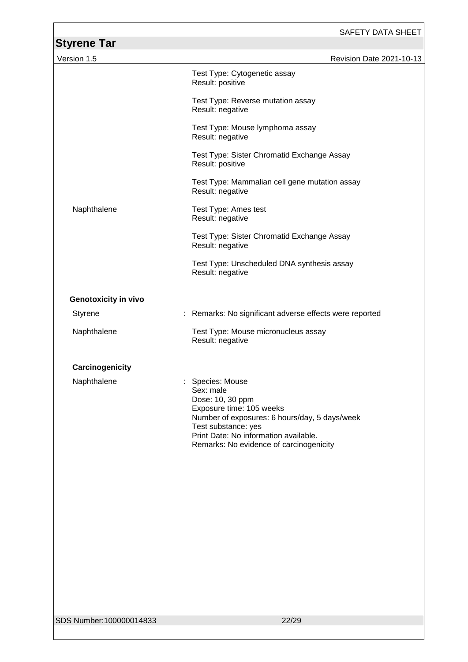| <b>Styrene Tar</b>          | <b>SAFETY DATA SHEET</b>                                                                                                                                                                                                                |
|-----------------------------|-----------------------------------------------------------------------------------------------------------------------------------------------------------------------------------------------------------------------------------------|
| Version 1.5                 | Revision Date 2021-10-13                                                                                                                                                                                                                |
|                             | Test Type: Cytogenetic assay<br>Result: positive                                                                                                                                                                                        |
|                             | Test Type: Reverse mutation assay<br>Result: negative                                                                                                                                                                                   |
|                             | Test Type: Mouse lymphoma assay<br>Result: negative                                                                                                                                                                                     |
|                             | Test Type: Sister Chromatid Exchange Assay<br>Result: positive                                                                                                                                                                          |
|                             | Test Type: Mammalian cell gene mutation assay<br>Result: negative                                                                                                                                                                       |
| Naphthalene                 | Test Type: Ames test<br>Result: negative                                                                                                                                                                                                |
|                             | Test Type: Sister Chromatid Exchange Assay<br>Result: negative                                                                                                                                                                          |
|                             | Test Type: Unscheduled DNA synthesis assay<br>Result: negative                                                                                                                                                                          |
| <b>Genotoxicity in vivo</b> |                                                                                                                                                                                                                                         |
| Styrene<br>÷                | Remarks: No significant adverse effects were reported                                                                                                                                                                                   |
| Naphthalene                 | Test Type: Mouse micronucleus assay<br>Result: negative                                                                                                                                                                                 |
| Carcinogenicity             |                                                                                                                                                                                                                                         |
| Naphthalene                 | Species: Mouse<br>Sex: male<br>Dose: 10, 30 ppm<br>Exposure time: 105 weeks<br>Number of exposures: 6 hours/day, 5 days/week<br>Test substance: yes<br>Print Date: No information available.<br>Remarks: No evidence of carcinogenicity |
| SDS Number: 100000014833    | 22/29                                                                                                                                                                                                                                   |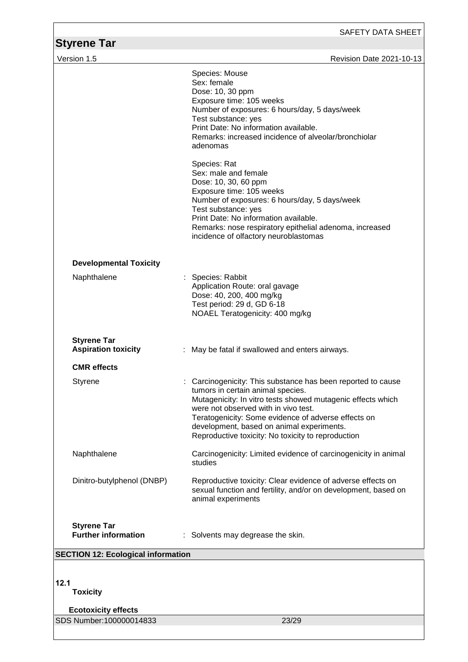| Styrene Tar                                      | SAFETY DATA SHEET                                                                                                                                                                                                                                                                                                                                                                                                                                                                                                                                                                   |
|--------------------------------------------------|-------------------------------------------------------------------------------------------------------------------------------------------------------------------------------------------------------------------------------------------------------------------------------------------------------------------------------------------------------------------------------------------------------------------------------------------------------------------------------------------------------------------------------------------------------------------------------------|
| Version 1.5                                      | Revision Date 2021-10-13                                                                                                                                                                                                                                                                                                                                                                                                                                                                                                                                                            |
|                                                  | Species: Mouse<br>Sex: female<br>Dose: 10, 30 ppm<br>Exposure time: 105 weeks<br>Number of exposures: 6 hours/day, 5 days/week<br>Test substance: yes<br>Print Date: No information available.<br>Remarks: increased incidence of alveolar/bronchiolar<br>adenomas<br>Species: Rat<br>Sex: male and female<br>Dose: 10, 30, 60 ppm<br>Exposure time: 105 weeks<br>Number of exposures: 6 hours/day, 5 days/week<br>Test substance: yes<br>Print Date: No information available.<br>Remarks: nose respiratory epithelial adenoma, increased<br>incidence of olfactory neuroblastomas |
| <b>Developmental Toxicity</b><br>Naphthalene     | : Species: Rabbit<br>Application Route: oral gavage<br>Dose: 40, 200, 400 mg/kg<br>Test period: 29 d, GD 6-18<br>NOAEL Teratogenicity: 400 mg/kg                                                                                                                                                                                                                                                                                                                                                                                                                                    |
| <b>Styrene Tar</b><br><b>Aspiration toxicity</b> | May be fatal if swallowed and enters airways.                                                                                                                                                                                                                                                                                                                                                                                                                                                                                                                                       |
| <b>CMR</b> effects                               |                                                                                                                                                                                                                                                                                                                                                                                                                                                                                                                                                                                     |
| Styrene                                          | Carcinogenicity: This substance has been reported to cause<br>tumors in certain animal species.<br>Mutagenicity: In vitro tests showed mutagenic effects which<br>were not observed with in vivo test.<br>Teratogenicity: Some evidence of adverse effects on<br>development, based on animal experiments.<br>Reproductive toxicity: No toxicity to reproduction                                                                                                                                                                                                                    |
| Naphthalene                                      | Carcinogenicity: Limited evidence of carcinogenicity in animal<br>studies                                                                                                                                                                                                                                                                                                                                                                                                                                                                                                           |
| Dinitro-butylphenol (DNBP)                       | Reproductive toxicity: Clear evidence of adverse effects on<br>sexual function and fertility, and/or on development, based on<br>animal experiments                                                                                                                                                                                                                                                                                                                                                                                                                                 |
| <b>Styrene Tar</b><br><b>Further information</b> | : Solvents may degrease the skin.                                                                                                                                                                                                                                                                                                                                                                                                                                                                                                                                                   |
| <b>SECTION 12: Ecological information</b>        |                                                                                                                                                                                                                                                                                                                                                                                                                                                                                                                                                                                     |
| 12.1<br><b>Toxicity</b>                          |                                                                                                                                                                                                                                                                                                                                                                                                                                                                                                                                                                                     |
| <b>Ecotoxicity effects</b>                       |                                                                                                                                                                                                                                                                                                                                                                                                                                                                                                                                                                                     |
| SDS Number:100000014833                          | 23/29                                                                                                                                                                                                                                                                                                                                                                                                                                                                                                                                                                               |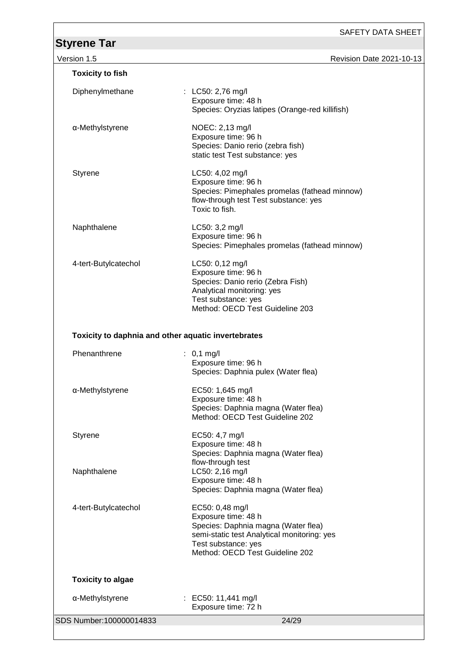| Version 1.5                                         | Revision Date 2021-10-13                                                                                                                                                               |
|-----------------------------------------------------|----------------------------------------------------------------------------------------------------------------------------------------------------------------------------------------|
| <b>Toxicity to fish</b>                             |                                                                                                                                                                                        |
| Diphenylmethane                                     | : LC50: 2,76 mg/l<br>Exposure time: 48 h<br>Species: Oryzias latipes (Orange-red killifish)                                                                                            |
| α-Methylstyrene                                     | NOEC: 2,13 mg/l<br>Exposure time: 96 h<br>Species: Danio rerio (zebra fish)<br>static test Test substance: yes                                                                         |
| <b>Styrene</b>                                      | LC50: 4,02 mg/l<br>Exposure time: 96 h<br>Species: Pimephales promelas (fathead minnow)<br>flow-through test Test substance: yes<br>Toxic to fish.                                     |
| Naphthalene                                         | LC50: 3,2 mg/l<br>Exposure time: 96 h<br>Species: Pimephales promelas (fathead minnow)                                                                                                 |
| 4-tert-Butylcatechol                                | LC50: 0,12 mg/l<br>Exposure time: 96 h<br>Species: Danio rerio (Zebra Fish)<br>Analytical monitoring: yes<br>Test substance: yes<br>Method: OECD Test Guideline 203                    |
| Toxicity to daphnia and other aquatic invertebrates |                                                                                                                                                                                        |
| Phenanthrene                                        | : $0,1 \text{ mg/l}$<br>Exposure time: 96 h<br>Species: Daphnia pulex (Water flea)                                                                                                     |
| α-Methylstyrene                                     | EC50: 1,645 mg/l<br>Exposure time: 48 h<br>Species: Daphnia magna (Water flea)<br>Method: OECD Test Guideline 202                                                                      |
| Styrene                                             | EC50: 4,7 mg/l<br>Exposure time: 48 h<br>Species: Daphnia magna (Water flea)                                                                                                           |
| Naphthalene                                         | flow-through test<br>LC50: 2,16 mg/l<br>Exposure time: 48 h<br>Species: Daphnia magna (Water flea)                                                                                     |
| 4-tert-Butylcatechol                                | EC50: 0,48 mg/l<br>Exposure time: 48 h<br>Species: Daphnia magna (Water flea)<br>semi-static test Analytical monitoring: yes<br>Test substance: yes<br>Method: OECD Test Guideline 202 |
| <b>Toxicity to algae</b>                            |                                                                                                                                                                                        |
| α-Methylstyrene                                     | : EC50: 11,441 mg/l<br>Exposure time: 72 h                                                                                                                                             |
| SDS Number:100000014833                             | 24/29                                                                                                                                                                                  |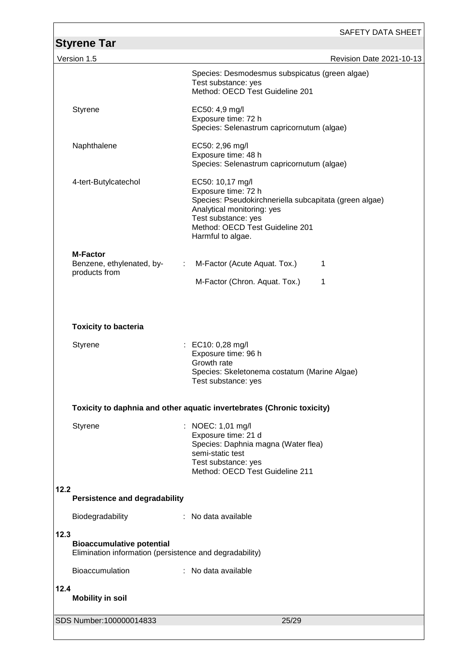|                                                                                                     | SAFETY DATA SHEET                                                                                                                                                                                              |
|-----------------------------------------------------------------------------------------------------|----------------------------------------------------------------------------------------------------------------------------------------------------------------------------------------------------------------|
| <b>Styrene Tar</b>                                                                                  |                                                                                                                                                                                                                |
| Version 1.5                                                                                         | Revision Date 2021-10-13                                                                                                                                                                                       |
|                                                                                                     | Species: Desmodesmus subspicatus (green algae)<br>Test substance: yes<br>Method: OECD Test Guideline 201                                                                                                       |
| <b>Styrene</b>                                                                                      | EC50: 4,9 mg/l<br>Exposure time: 72 h<br>Species: Selenastrum capricornutum (algae)                                                                                                                            |
| Naphthalene                                                                                         | EC50: 2,96 mg/l<br>Exposure time: 48 h<br>Species: Selenastrum capricornutum (algae)                                                                                                                           |
| 4-tert-Butylcatechol                                                                                | EC50: 10,17 mg/l<br>Exposure time: 72 h<br>Species: Pseudokirchneriella subcapitata (green algae)<br>Analytical monitoring: yes<br>Test substance: yes<br>Method: OECD Test Guideline 201<br>Harmful to algae. |
| <b>M-Factor</b>                                                                                     |                                                                                                                                                                                                                |
| Benzene, ethylenated, by-<br>÷<br>products from                                                     | M-Factor (Acute Aquat. Tox.)<br>1<br>M-Factor (Chron. Aquat. Tox.)<br>1                                                                                                                                        |
| <b>Toxicity to bacteria</b>                                                                         |                                                                                                                                                                                                                |
| <b>Styrene</b>                                                                                      | : EC10: 0,28 mg/l<br>Exposure time: 96 h<br>Growth rate<br>Species: Skeletonema costatum (Marine Algae)<br>Test substance: yes                                                                                 |
|                                                                                                     | Toxicity to daphnia and other aquatic invertebrates (Chronic toxicity)                                                                                                                                         |
| <b>Styrene</b>                                                                                      | : NOEC: 1,01 mg/l<br>Exposure time: 21 d<br>Species: Daphnia magna (Water flea)<br>semi-static test<br>Test substance: yes<br>Method: OECD Test Guideline 211                                                  |
| 12.2<br><b>Persistence and degradability</b>                                                        |                                                                                                                                                                                                                |
| Biodegradability                                                                                    | : No data available                                                                                                                                                                                            |
| 12.3<br><b>Bioaccumulative potential</b><br>Elimination information (persistence and degradability) |                                                                                                                                                                                                                |
| <b>Bioaccumulation</b>                                                                              | : No data available                                                                                                                                                                                            |
| 12.4<br><b>Mobility in soil</b>                                                                     |                                                                                                                                                                                                                |
| SDS Number:100000014833                                                                             | 25/29                                                                                                                                                                                                          |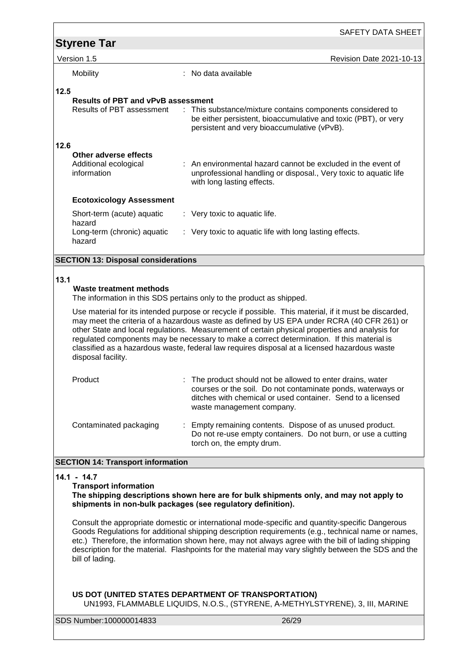|      |                                                                                                                                 | SAFETY DATA SHEET                                                                                                                                                                                                                                                                                                                                                                                                                                                                                                                                                           |
|------|---------------------------------------------------------------------------------------------------------------------------------|-----------------------------------------------------------------------------------------------------------------------------------------------------------------------------------------------------------------------------------------------------------------------------------------------------------------------------------------------------------------------------------------------------------------------------------------------------------------------------------------------------------------------------------------------------------------------------|
|      | <b>Styrene Tar</b>                                                                                                              |                                                                                                                                                                                                                                                                                                                                                                                                                                                                                                                                                                             |
|      | Version 1.5                                                                                                                     | <b>Revision Date 2021-10-13</b>                                                                                                                                                                                                                                                                                                                                                                                                                                                                                                                                             |
|      | Mobility                                                                                                                        | No data available                                                                                                                                                                                                                                                                                                                                                                                                                                                                                                                                                           |
| 12.5 | <b>Results of PBT and vPvB assessment</b><br><b>Results of PBT assessment</b><br>÷.                                             | This substance/mixture contains components considered to<br>be either persistent, bioaccumulative and toxic (PBT), or very<br>persistent and very bioaccumulative (vPvB).                                                                                                                                                                                                                                                                                                                                                                                                   |
| 12.6 | Other adverse effects<br>Additional ecological<br>information                                                                   | : An environmental hazard cannot be excluded in the event of<br>unprofessional handling or disposal., Very toxic to aquatic life<br>with long lasting effects.                                                                                                                                                                                                                                                                                                                                                                                                              |
|      | <b>Ecotoxicology Assessment</b>                                                                                                 |                                                                                                                                                                                                                                                                                                                                                                                                                                                                                                                                                                             |
|      | Short-term (acute) aquatic                                                                                                      | : Very toxic to aquatic life.                                                                                                                                                                                                                                                                                                                                                                                                                                                                                                                                               |
|      | hazard<br>Long-term (chronic) aquatic<br>hazard                                                                                 | : Very toxic to aquatic life with long lasting effects.                                                                                                                                                                                                                                                                                                                                                                                                                                                                                                                     |
|      | <b>SECTION 13: Disposal considerations</b>                                                                                      |                                                                                                                                                                                                                                                                                                                                                                                                                                                                                                                                                                             |
| 13.1 | <b>Waste treatment methods</b><br>disposal facility.                                                                            | The information in this SDS pertains only to the product as shipped.<br>Use material for its intended purpose or recycle if possible. This material, if it must be discarded,<br>may meet the criteria of a hazardous waste as defined by US EPA under RCRA (40 CFR 261) or<br>other State and local regulations. Measurement of certain physical properties and analysis for<br>regulated components may be necessary to make a correct determination. If this material is<br>classified as a hazardous waste, federal law requires disposal at a licensed hazardous waste |
|      | Product                                                                                                                         | The product should not be allowed to enter drains, water<br>courses or the soil. Do not contaminate ponds, waterways or<br>ditches with chemical or used container. Send to a licensed<br>waste management company.                                                                                                                                                                                                                                                                                                                                                         |
|      | Contaminated packaging                                                                                                          | : Empty remaining contents. Dispose of as unused product.<br>Do not re-use empty containers. Do not burn, or use a cutting<br>torch on, the empty drum.                                                                                                                                                                                                                                                                                                                                                                                                                     |
|      | <b>SECTION 14: Transport information</b>                                                                                        |                                                                                                                                                                                                                                                                                                                                                                                                                                                                                                                                                                             |
|      | $14.1 - 14.7$<br><b>Transport information</b><br>shipments in non-bulk packages (see regulatory definition).<br>bill of lading. | The shipping descriptions shown here are for bulk shipments only, and may not apply to<br>Consult the appropriate domestic or international mode-specific and quantity-specific Dangerous<br>Goods Regulations for additional shipping description requirements (e.g., technical name or names,<br>etc.) Therefore, the information shown here, may not always agree with the bill of lading shipping<br>description for the material. Flashpoints for the material may vary slightly between the SDS and the<br>US DOT (UNITED STATES DEPARTMENT OF TRANSPORTATION)        |
|      | SDS Number:100000014833                                                                                                         | UN1993, FLAMMABLE LIQUIDS, N.O.S., (STYRENE, A-METHYLSTYRENE), 3, III, MARINE<br>26/29                                                                                                                                                                                                                                                                                                                                                                                                                                                                                      |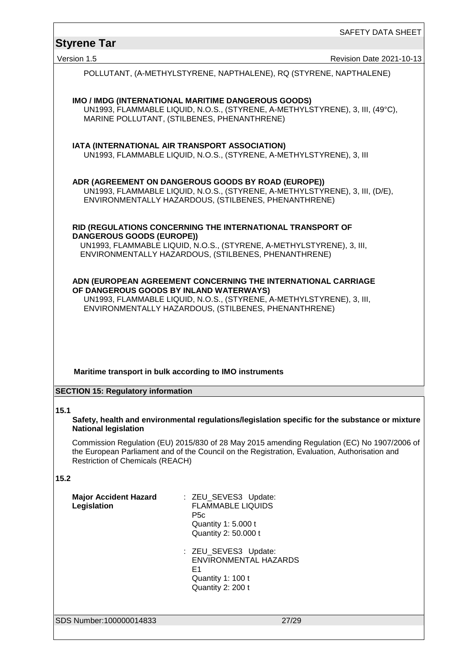# **Styrene Tar**  Version 1.5 **Revision Date 2021-10-13** SDS Number:100000014833 27/29 POLLUTANT, (Α-METHYLSTYRENE, NAPTHALENE), RQ (STYRENE, NAPTHALENE) **IMO / IMDG (INTERNATIONAL MARITIME DANGEROUS GOODS)** UN1993, FLAMMABLE LIQUID, N.O.S., (STYRENE, Α-METHYLSTYRENE), 3, III, (49°C), MARINE POLLUTANT, (STILBENES, PHENANTHRENE) **IATA (INTERNATIONAL AIR TRANSPORT ASSOCIATION)** UN1993, FLAMMABLE LIQUID, N.O.S., (STYRENE, Α-METHYLSTYRENE), 3, III **ADR (AGREEMENT ON DANGEROUS GOODS BY ROAD (EUROPE))** UN1993, FLAMMABLE LIQUID, N.O.S., (STYRENE, Α-METHYLSTYRENE), 3, III, (D/E), ENVIRONMENTALLY HAZARDOUS, (STILBENES, PHENANTHRENE) **RID (REGULATIONS CONCERNING THE INTERNATIONAL TRANSPORT OF DANGEROUS GOODS (EUROPE))** UN1993, FLAMMABLE LIQUID, N.O.S., (STYRENE, Α-METHYLSTYRENE), 3, III, ENVIRONMENTALLY HAZARDOUS, (STILBENES, PHENANTHRENE) **ADN (EUROPEAN AGREEMENT CONCERNING THE INTERNATIONAL CARRIAGE OF DANGEROUS GOODS BY INLAND WATERWAYS)** UN1993, FLAMMABLE LIQUID, N.O.S., (STYRENE, Α-METHYLSTYRENE), 3, III, ENVIRONMENTALLY HAZARDOUS, (STILBENES, PHENANTHRENE) **Maritime transport in bulk according to IMO instruments SECTION 15: Regulatory information 15.1 Safety, health and environmental regulations/legislation specific for the substance or mixture National legislation** Commission Regulation (EU) 2015/830 of 28 May 2015 amending Regulation (EC) No 1907/2006 of the European Parliament and of the Council on the Registration, Evaluation, Authorisation and Restriction of Chemicals (REACH) **15.2 Major Accident Hazard Legislation** : ZEU\_SEVES3 Update: FLAMMABLE LIQUIDS P5c Quantity 1: 5.000 t Quantity 2: 50.000 t : ZEU\_SEVES3 Update: ENVIRONMENTAL HAZARDS E1 Quantity 1: 100 t Quantity 2: 200 t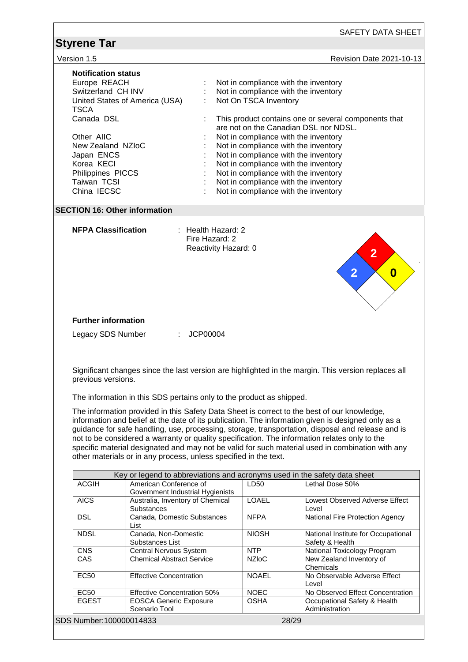| Version 1.5                |                                                                      |                      |                       | Revision Date 2021-10-13                                                                            |
|----------------------------|----------------------------------------------------------------------|----------------------|-----------------------|-----------------------------------------------------------------------------------------------------|
| <b>Notification status</b> |                                                                      |                      |                       |                                                                                                     |
| Europe REACH               |                                                                      |                      |                       | Not in compliance with the inventory                                                                |
| Switzerland CH INV         |                                                                      |                      |                       | Not in compliance with the inventory                                                                |
|                            | United States of America (USA)                                       |                      | Not On TSCA Inventory |                                                                                                     |
| <b>TSCA</b>                |                                                                      |                      |                       |                                                                                                     |
| Canada DSL                 |                                                                      |                      |                       | This product contains one or several components that                                                |
|                            |                                                                      |                      |                       | are not on the Canadian DSL nor NDSL.                                                               |
| Other AIIC                 |                                                                      |                      |                       | Not in compliance with the inventory                                                                |
| New Zealand NZIoC          |                                                                      |                      |                       | Not in compliance with the inventory                                                                |
| Japan ENCS                 |                                                                      |                      |                       | Not in compliance with the inventory                                                                |
| Korea KECI                 |                                                                      |                      |                       | Not in compliance with the inventory                                                                |
| Philippines PICCS          |                                                                      |                      |                       | Not in compliance with the inventory                                                                |
| Taiwan TCSI                |                                                                      |                      |                       | Not in compliance with the inventory                                                                |
| China IECSC                |                                                                      |                      |                       | Not in compliance with the inventory                                                                |
|                            | <b>SECTION 16: Other information</b>                                 |                      |                       |                                                                                                     |
|                            |                                                                      |                      |                       |                                                                                                     |
| <b>NFPA Classification</b> |                                                                      | : Health Hazard: 2   |                       |                                                                                                     |
|                            |                                                                      | Fire Hazard: 2       |                       |                                                                                                     |
|                            |                                                                      | Reactivity Hazard: 0 |                       | $\overline{2}$                                                                                      |
|                            |                                                                      |                      |                       |                                                                                                     |
|                            |                                                                      |                      |                       |                                                                                                     |
|                            |                                                                      |                      |                       | $\overline{2}$<br>$\boldsymbol{0}$                                                                  |
|                            |                                                                      |                      |                       |                                                                                                     |
|                            |                                                                      |                      |                       |                                                                                                     |
|                            |                                                                      |                      |                       |                                                                                                     |
|                            |                                                                      |                      |                       |                                                                                                     |
| <b>Further information</b> |                                                                      |                      |                       |                                                                                                     |
| Legacy SDS Number          |                                                                      |                      |                       |                                                                                                     |
|                            |                                                                      |                      |                       |                                                                                                     |
|                            | ÷.                                                                   | JCP00004             |                       |                                                                                                     |
|                            |                                                                      |                      |                       |                                                                                                     |
|                            |                                                                      |                      |                       |                                                                                                     |
|                            |                                                                      |                      |                       |                                                                                                     |
|                            |                                                                      |                      |                       | Significant changes since the last version are highlighted in the margin. This version replaces all |
| previous versions.         |                                                                      |                      |                       |                                                                                                     |
|                            |                                                                      |                      |                       |                                                                                                     |
|                            | The information in this SDS pertains only to the product as shipped. |                      |                       |                                                                                                     |
|                            |                                                                      |                      |                       | The information provided in this Safety Data Sheet is correct to the best of our knowledge,         |
|                            |                                                                      |                      |                       | information and belief at the date of its publication. The information given is designed only as a  |
|                            |                                                                      |                      |                       | guidance for safe handling, use, processing, storage, transportation, disposal and release and is   |
|                            |                                                                      |                      |                       | not to be considered a warranty or quality specification. The information relates only to the       |
|                            |                                                                      |                      |                       | specific material designated and may not be valid for such material used in combination with any    |
|                            | other materials or in any process, unless specified in the text.     |                      |                       |                                                                                                     |
|                            |                                                                      |                      |                       |                                                                                                     |
| <b>ACGIH</b>               | American Conference of                                               |                      | LD50                  | Key or legend to abbreviations and acronyms used in the safety data sheet<br>Lethal Dose 50%        |
|                            | Government Industrial Hygienists                                     |                      |                       |                                                                                                     |
| <b>AICS</b>                | Australia, Inventory of Chemical                                     |                      | <b>LOAEL</b>          | Lowest Observed Adverse Effect                                                                      |
|                            | Substances                                                           |                      |                       | Level                                                                                               |
| <b>DSL</b>                 | Canada, Domestic Substances                                          |                      | <b>NFPA</b>           | National Fire Protection Agency                                                                     |
| <b>NDSL</b>                | List<br>Canada, Non-Domestic                                         |                      | <b>NIOSH</b>          |                                                                                                     |
|                            | Substances List                                                      |                      |                       | Safety & Health                                                                                     |
| <b>CNS</b>                 | <b>Central Nervous System</b>                                        |                      | <b>NTP</b>            | <b>National Toxicology Program</b>                                                                  |
| CAS                        | <b>Chemical Abstract Service</b>                                     |                      | <b>NZIoC</b>          | National Institute for Occupational<br>New Zealand Inventory of                                     |
|                            |                                                                      |                      |                       | Chemicals                                                                                           |
| <b>EC50</b>                | <b>Effective Concentration</b>                                       |                      | <b>NOAEL</b>          | No Observable Adverse Effect                                                                        |
|                            |                                                                      |                      |                       | Level                                                                                               |
| <b>EC50</b>                | <b>Effective Concentration 50%</b>                                   |                      | <b>NOEC</b>           |                                                                                                     |
| <b>EGEST</b>               | <b>EOSCA Generic Exposure</b><br>Scenario Tool                       |                      | <b>OSHA</b>           | No Observed Effect Concentration<br>Occupational Safety & Health<br>Administration                  |
| SDS Number:100000014833    |                                                                      |                      |                       | 28/29                                                                                               |

 $\Gamma$